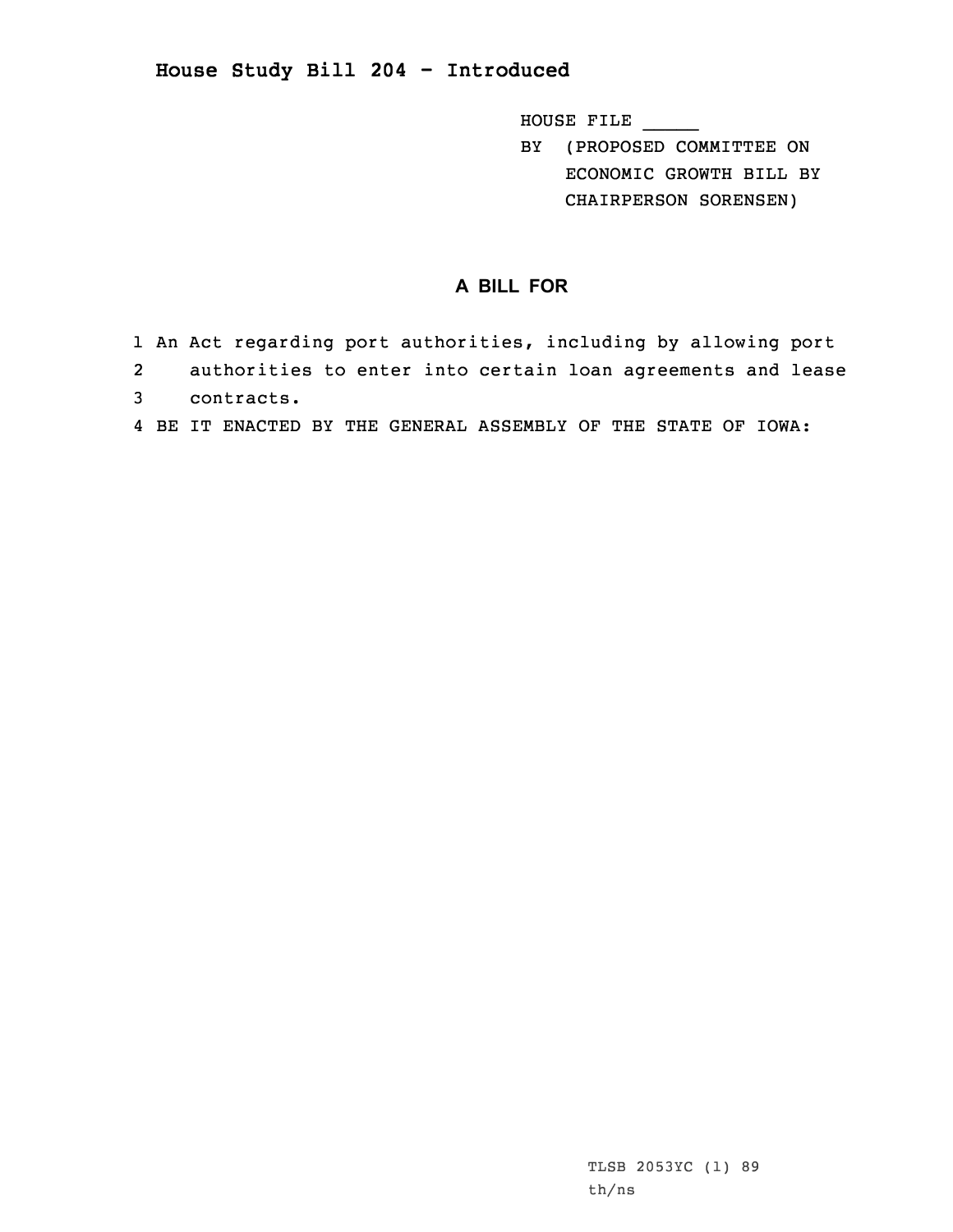## **House Study Bill 204 - Introduced**

HOUSE FILE \_\_\_\_\_

BY (PROPOSED COMMITTEE ON ECONOMIC GROWTH BILL BY CHAIRPERSON SORENSEN)

## **A BILL FOR**

- 1 An Act regarding port authorities, including by allowing port
- 2 authorities to enter into certain loan agreements and lease
- 3 contracts.
- 4 BE IT ENACTED BY THE GENERAL ASSEMBLY OF THE STATE OF IOWA: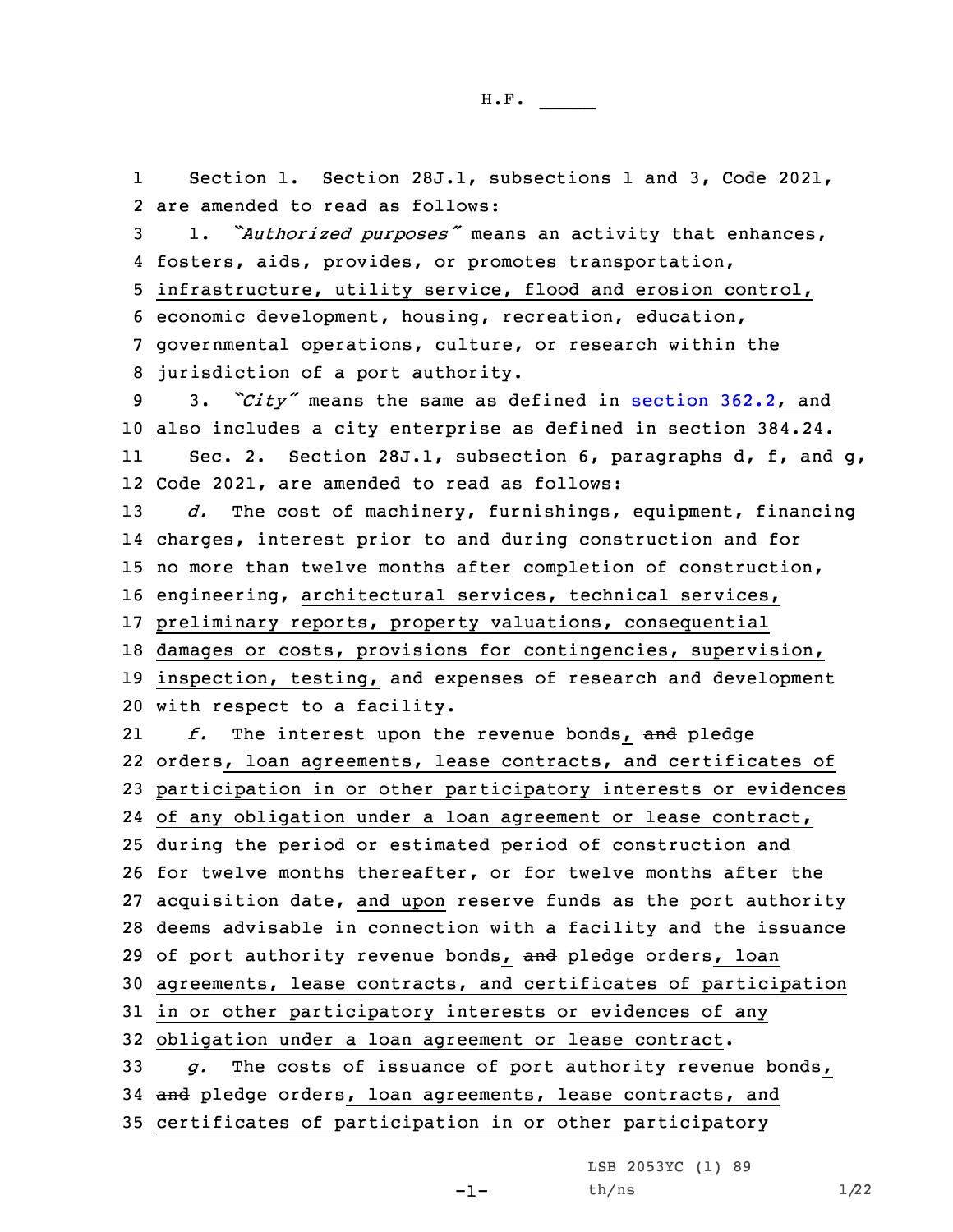Section 1. Section 28J.1, subsections 1 and 3, Code 2021,

1

2 are amended to read as follows:

 1. *"Authorized purposes"* means an activity that enhances, fosters, aids, provides, or promotes transportation, infrastructure, utility service, flood and erosion control, economic development, housing, recreation, education, governmental operations, culture, or research within the jurisdiction of <sup>a</sup> port authority. 3. *"City"* means the same as defined in [section](https://www.legis.iowa.gov/docs/code/2021/362.2.pdf) 362.2, and also includes <sup>a</sup> city enterprise as defined in section 384.24. 11 Sec. 2. Section 28J.1, subsection 6, paragraphs d, f, and g, Code 2021, are amended to read as follows: *d.* The cost of machinery, furnishings, equipment, financing charges, interest prior to and during construction and for no more than twelve months after completion of construction, engineering, architectural services, technical services, preliminary reports, property valuations, consequential damages or costs, provisions for contingencies, supervision, inspection, testing, and expenses of research and development with respect to <sup>a</sup> facility. 21 *f.* The interest upon the revenue bonds, and pledge orders, loan agreements, lease contracts, and certificates of participation in or other participatory interests or evidences of any obligation under <sup>a</sup> loan agreement or lease contract, during the period or estimated period of construction and for twelve months thereafter, or for twelve months after the acquisition date, and upon reserve funds as the port authority deems advisable in connection with <sup>a</sup> facility and the issuance 29 of port authority revenue bonds, and pledge orders, loan agreements, lease contracts, and certificates of participation in or other participatory interests or evidences of any obligation under <sup>a</sup> loan agreement or lease contract. *g.* The costs of issuance of port authority revenue bonds, 34 and pledge orders, loan agreements, lease contracts, and certificates of participation in or other participatory -1-LSB 2053YC (1) 89  $th/ns$   $1/22$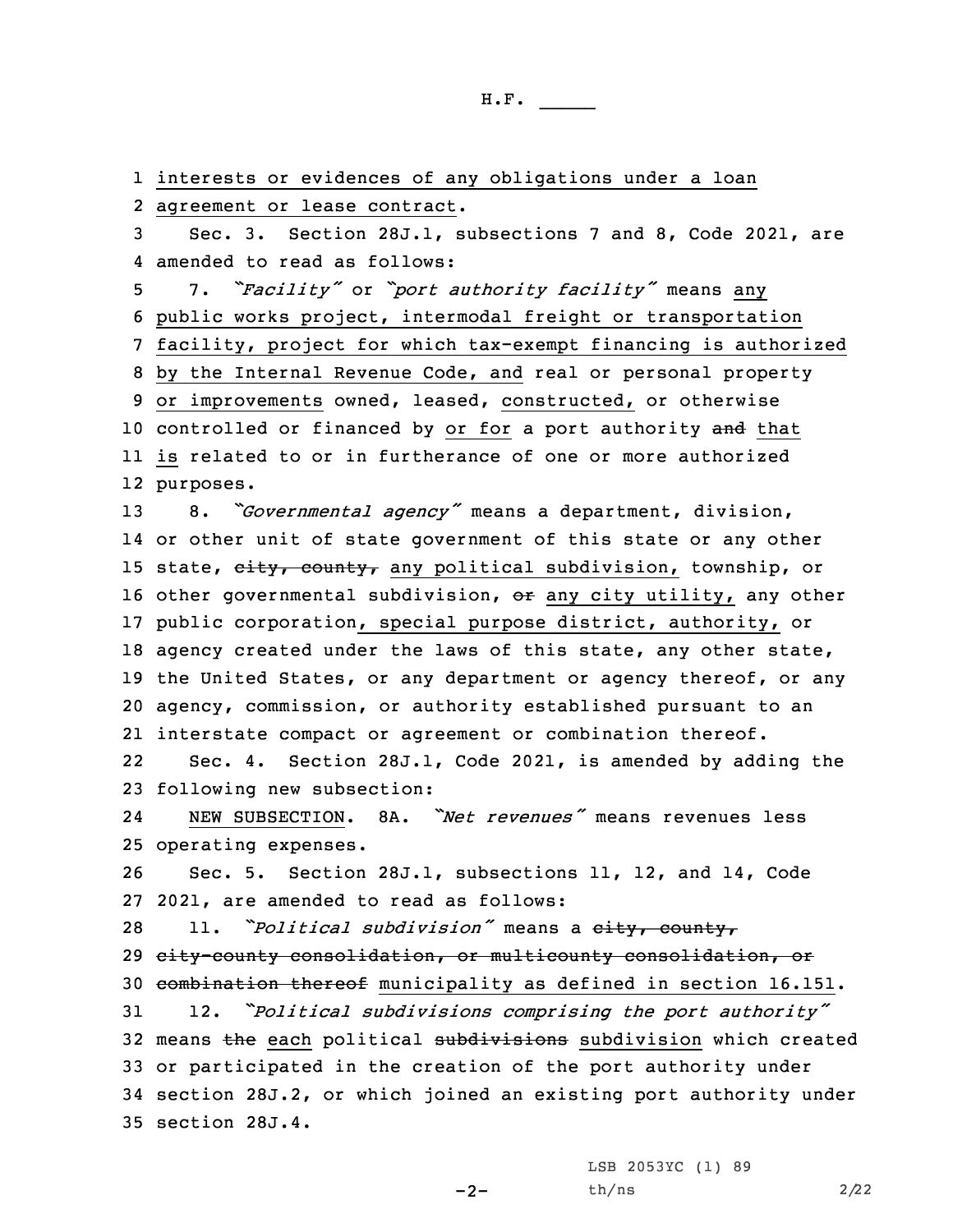interests or evidences of any obligations under <sup>a</sup> loan agreement or lease contract. Sec. 3. Section 28J.1, subsections 7 and 8, Code 2021, are amended to read as follows: 7. *"Facility"* or *"port authority facility"* means any public works project, intermodal freight or transportation facility, project for which tax-exempt financing is authorized by the Internal Revenue Code, and real or personal property or improvements owned, leased, constructed, or otherwise 10 controlled or financed by or for a port authority and that is related to or in furtherance of one or more authorized purposes. 8. *"Governmental agency"* means <sup>a</sup> department, division, or other unit of state government of this state or any other 15 state, eity, county, any political subdivision, township, or 16 other governmental subdivision, or any city utility, any other public corporation, special purpose district, authority, or agency created under the laws of this state, any other state, 19 the United States, or any department or agency thereof, or any agency, commission, or authority established pursuant to an interstate compact or agreement or combination thereof. 22 Sec. 4. Section 28J.1, Code 2021, is amended by adding the following new subsection: 24 NEW SUBSECTION. 8A. *"Net revenues"* means revenues less operating expenses. Sec. 5. Section 28J.1, subsections 11, 12, and 14, Code 2021, are amended to read as follows: 11. *"Political subdivision"* means <sup>a</sup> city, county, city-county consolidation, or multicounty consolidation, or combination thereof municipality as defined in section 16.151. 12. *"Political subdivisions comprising the port authority"* 32 means the each political subdivisions subdivision which created or participated in the creation of the port authority under section 28J.2, or which joined an existing port authority under section 28J.4.

 $-2-$ 

LSB 2053YC (1) 89 th/ns 2/22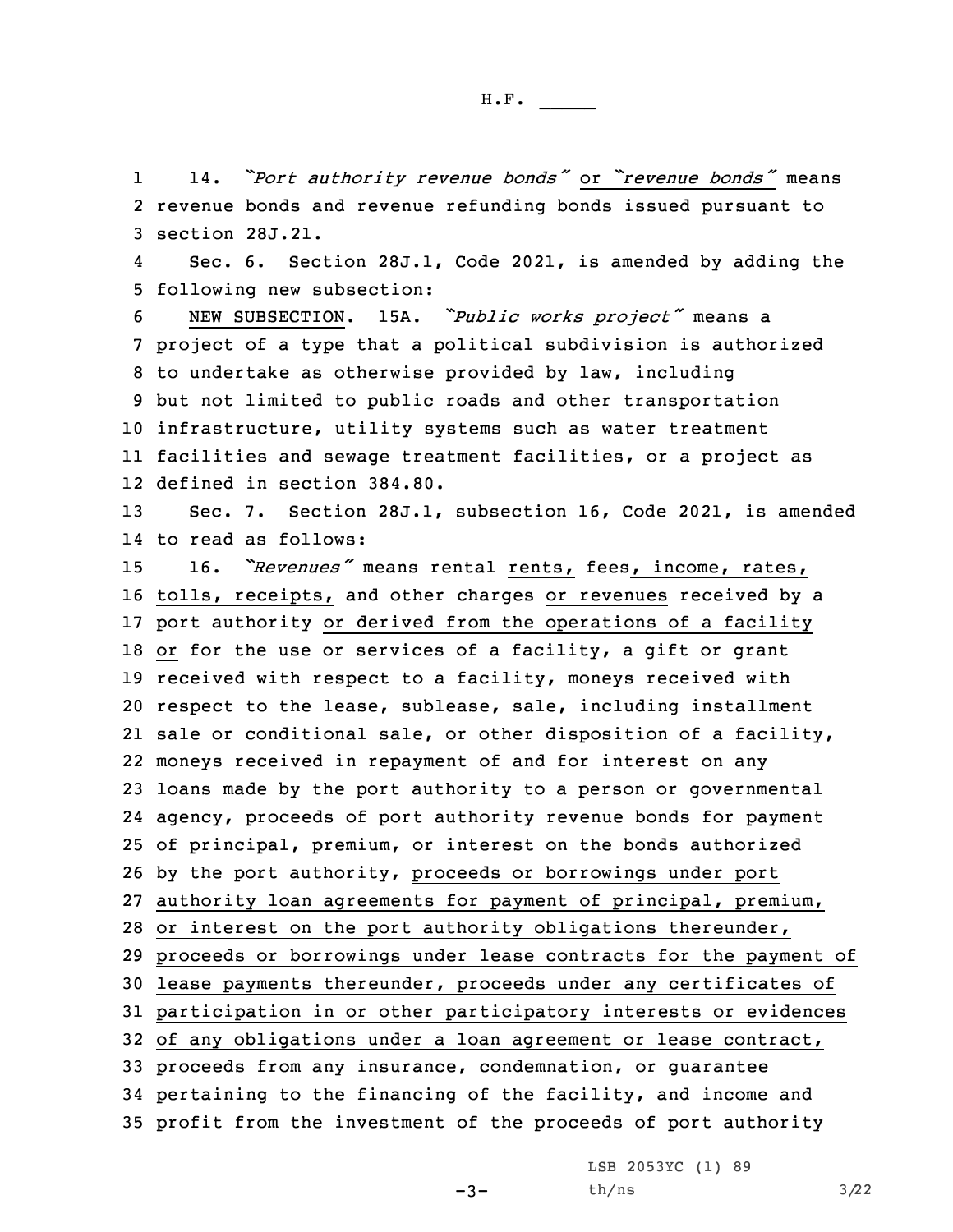1 14. *"Port authority revenue bonds"* or *"revenue bonds"* means 2 revenue bonds and revenue refunding bonds issued pursuant to 3 section 28J.21.

4 Sec. 6. Section 28J.1, Code 2021, is amended by adding the 5 following new subsection:

 NEW SUBSECTION. 15A. *"Public works project"* means <sup>a</sup> project of <sup>a</sup> type that <sup>a</sup> political subdivision is authorized to undertake as otherwise provided by law, including but not limited to public roads and other transportation infrastructure, utility systems such as water treatment facilities and sewage treatment facilities, or <sup>a</sup> project as defined in section 384.80.

13 Sec. 7. Section 28J.1, subsection 16, Code 2021, is amended 14 to read as follows:

 16. *"Revenues"* means rental rents, fees, income, rates, tolls, receipts, and other charges or revenues received by <sup>a</sup> port authority or derived from the operations of <sup>a</sup> facility 18 or for the use or services of a facility, a gift or grant received with respect to <sup>a</sup> facility, moneys received with respect to the lease, sublease, sale, including installment sale or conditional sale, or other disposition of <sup>a</sup> facility, moneys received in repayment of and for interest on any loans made by the port authority to <sup>a</sup> person or governmental agency, proceeds of port authority revenue bonds for payment of principal, premium, or interest on the bonds authorized by the port authority, proceeds or borrowings under port authority loan agreements for payment of principal, premium, or interest on the port authority obligations thereunder, proceeds or borrowings under lease contracts for the payment of lease payments thereunder, proceeds under any certificates of participation in or other participatory interests or evidences of any obligations under <sup>a</sup> loan agreement or lease contract, proceeds from any insurance, condemnation, or guarantee pertaining to the financing of the facility, and income and profit from the investment of the proceeds of port authority

> LSB 2053YC (1) 89  $th/ns$  3/22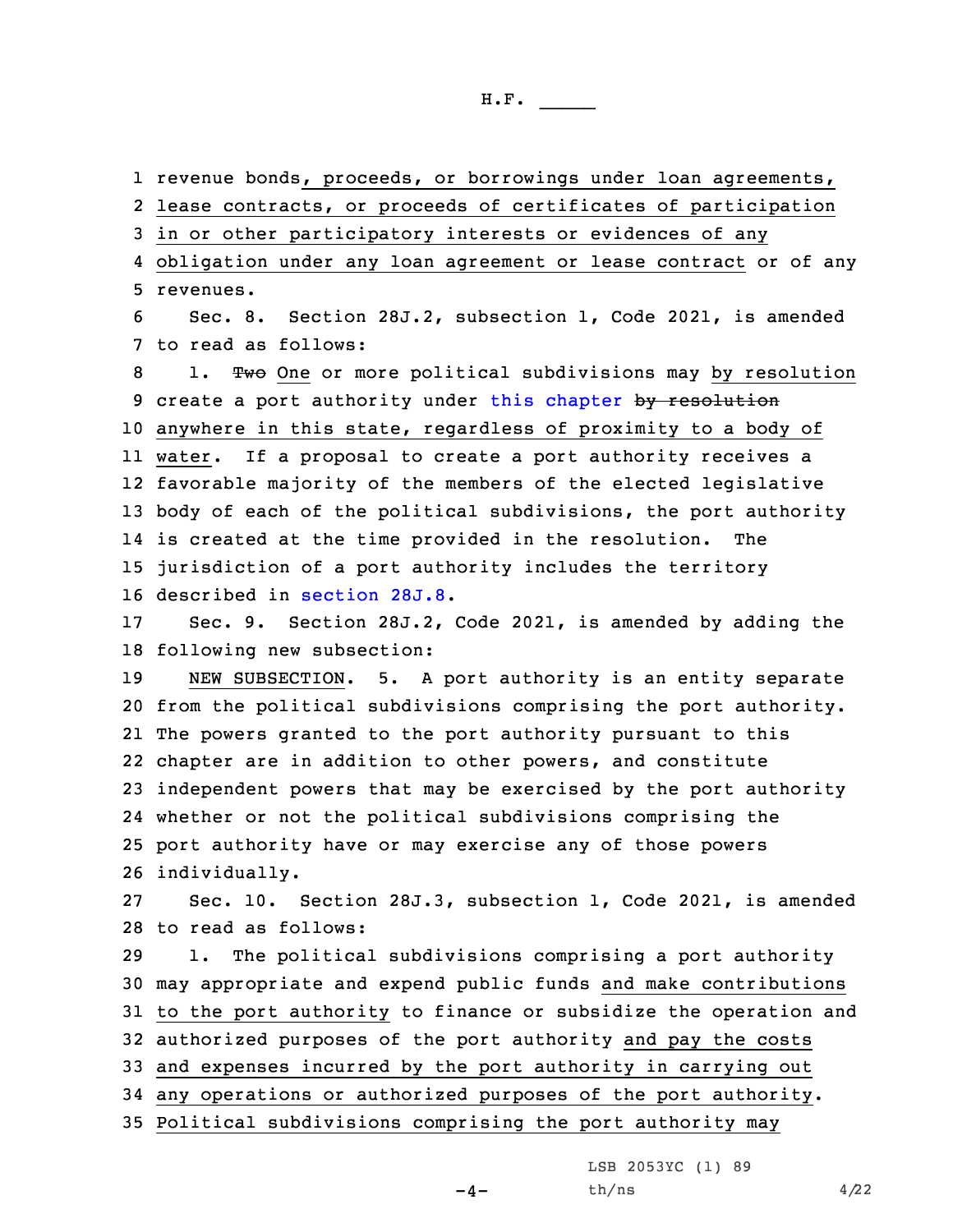1 revenue bonds, proceeds, or borrowings under loan agreements,

2 lease contracts, or proceeds of certificates of participation

3 in or other participatory interests or evidences of any

4 obligation under any loan agreement or lease contract or of any 5 revenues.

6 Sec. 8. Section 28J.2, subsection 1, Code 2021, is amended 7 to read as follows:

8 1. Two One or more political subdivisions may by resolution 9 create a port authority under this [chapter](https://www.legis.iowa.gov/docs/code/2021/28J.pdf) by resolution anywhere in this state, regardless of proximity to <sup>a</sup> body of water. If <sup>a</sup> proposal to create <sup>a</sup> port authority receives <sup>a</sup> favorable majority of the members of the elected legislative body of each of the political subdivisions, the port authority is created at the time provided in the resolution. The jurisdiction of <sup>a</sup> port authority includes the territory described in [section](https://www.legis.iowa.gov/docs/code/2021/28J.8.pdf) 28J.8.

17 Sec. 9. Section 28J.2, Code 2021, is amended by adding the 18 following new subsection:

 NEW SUBSECTION. 5. <sup>A</sup> port authority is an entity separate from the political subdivisions comprising the port authority. The powers granted to the port authority pursuant to this chapter are in addition to other powers, and constitute independent powers that may be exercised by the port authority whether or not the political subdivisions comprising the port authority have or may exercise any of those powers individually.

27 Sec. 10. Section 28J.3, subsection 1, Code 2021, is amended 28 to read as follows:

 1. The political subdivisions comprising <sup>a</sup> port authority may appropriate and expend public funds and make contributions to the port authority to finance or subsidize the operation and authorized purposes of the port authority and pay the costs and expenses incurred by the port authority in carrying out any operations or authorized purposes of the port authority. Political subdivisions comprising the port authority may

LSB 2053YC (1) 89

 $-4-$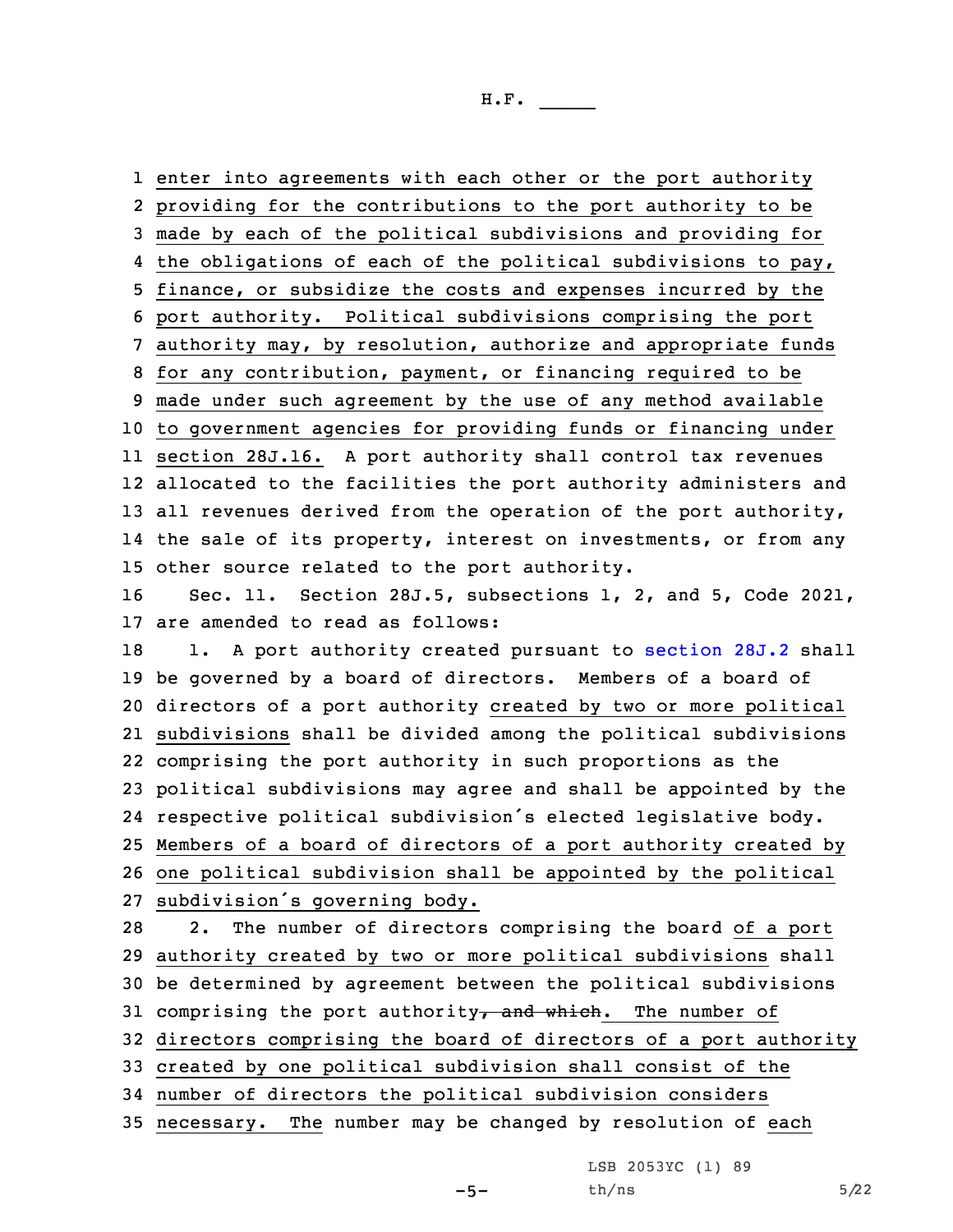enter into agreements with each other or the port authority providing for the contributions to the port authority to be made by each of the political subdivisions and providing for the obligations of each of the political subdivisions to pay, finance, or subsidize the costs and expenses incurred by the port authority. Political subdivisions comprising the port authority may, by resolution, authorize and appropriate funds for any contribution, payment, or financing required to be made under such agreement by the use of any method available to government agencies for providing funds or financing under section 28J.16. <sup>A</sup> port authority shall control tax revenues allocated to the facilities the port authority administers and all revenues derived from the operation of the port authority, the sale of its property, interest on investments, or from any other source related to the port authority. Sec. 11. Section 28J.5, subsections 1, 2, and 5, Code 2021, are amended to read as follows: 18 1. A port authority created pursuant to [section](https://www.legis.iowa.gov/docs/code/2021/28J.2.pdf) 28J.2 shall be governed by <sup>a</sup> board of directors. Members of <sup>a</sup> board of directors of <sup>a</sup> port authority created by two or more political subdivisions shall be divided among the political subdivisions comprising the port authority in such proportions as the political subdivisions may agree and shall be appointed by the respective political subdivision's elected legislative body. Members of <sup>a</sup> board of directors of <sup>a</sup> port authority created by one political subdivision shall be appointed by the political subdivision's governing body. 2. The number of directors comprising the board of <sup>a</sup> port authority created by two or more political subdivisions shall be determined by agreement between the political subdivisions 31 comprising the port authority, and which. The number of directors comprising the board of directors of <sup>a</sup> port authority created by one political subdivision shall consist of the number of directors the political subdivision considers necessary. The number may be changed by resolution of each

LSB 2053YC (1) 89

 $-5-$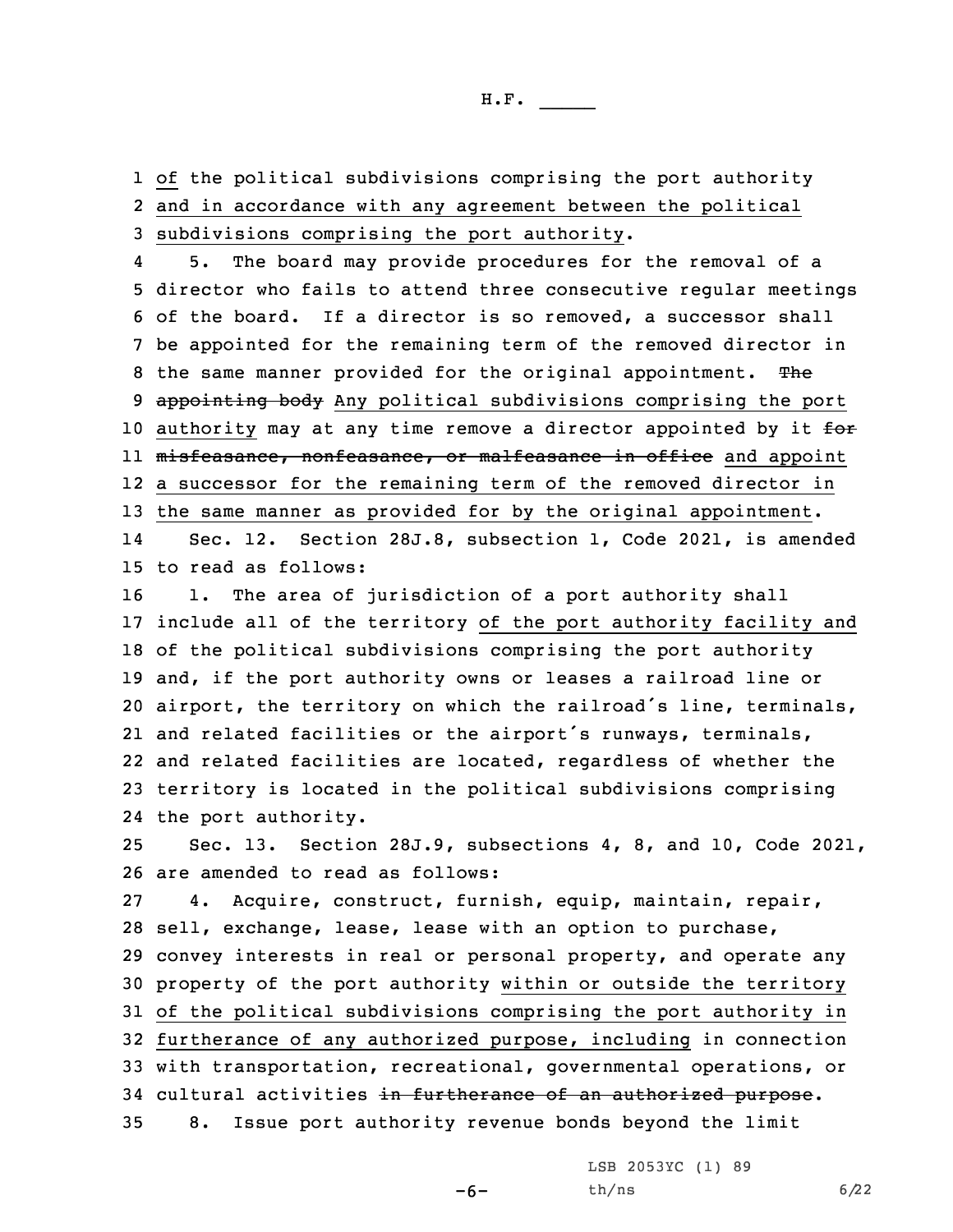1 of the political subdivisions comprising the port authority 2 and in accordance with any agreement between the political 3 subdivisions comprising the port authority.

4 5. The board may provide procedures for the removal of <sup>a</sup> 5 director who fails to attend three consecutive regular meetings 6 of the board. If <sup>a</sup> director is so removed, <sup>a</sup> successor shall 7 be appointed for the remaining term of the removed director in 8 the same manner provided for the original appointment. The 9 appointing body Any political subdivisions comprising the port 10 authority may at any time remove a director appointed by it  $f$ or ll <del>misfeasance, nonfeasance, or malfeasance in office</del> and appoint 12 <sup>a</sup> successor for the remaining term of the removed director in 13 the same manner as provided for by the original appointment.

14 Sec. 12. Section 28J.8, subsection 1, Code 2021, is amended 15 to read as follows:

16 1. The area of jurisdiction of a port authority shall include all of the territory of the port authority facility and of the political subdivisions comprising the port authority and, if the port authority owns or leases <sup>a</sup> railroad line or airport, the territory on which the railroad's line, terminals, and related facilities or the airport's runways, terminals, and related facilities are located, regardless of whether the territory is located in the political subdivisions comprising the port authority.

25 Sec. 13. Section 28J.9, subsections 4, 8, and 10, Code 2021, 26 are amended to read as follows:

 4. Acquire, construct, furnish, equip, maintain, repair, sell, exchange, lease, lease with an option to purchase, convey interests in real or personal property, and operate any property of the port authority within or outside the territory of the political subdivisions comprising the port authority in furtherance of any authorized purpose, including in connection with transportation, recreational, governmental operations, or 34 cultural activities in furtherance of an authorized purpose. 8. Issue port authority revenue bonds beyond the limit

-6-

LSB 2053YC (1) 89  $th/ns$  6/22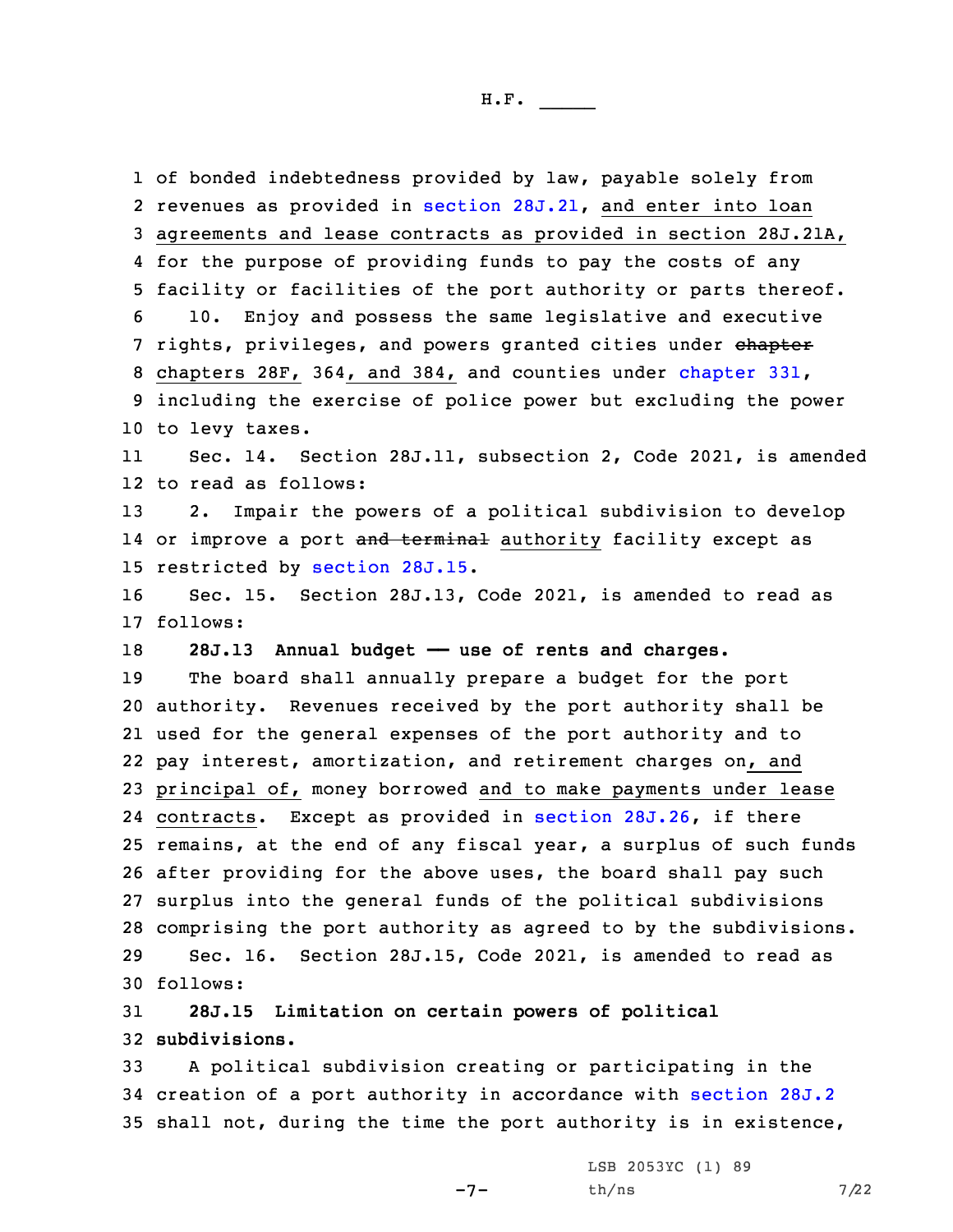of bonded indebtedness provided by law, payable solely from 2 revenues as provided in section [28J.21](https://www.legis.iowa.gov/docs/code/2021/28J.21.pdf), and enter into loan agreements and lease contracts as provided in section 28J.21A, for the purpose of providing funds to pay the costs of any facility or facilities of the port authority or parts thereof. 10. Enjoy and possess the same legislative and executive 7 rights, privileges, and powers granted cities under chapter chapters 28F, 364, and 384, and counties under [chapter](https://www.legis.iowa.gov/docs/code/2021/331.pdf) 331, including the exercise of police power but excluding the power to levy taxes. 11 Sec. 14. Section 28J.11, subsection 2, Code 2021, is amended to read as follows: 2. Impair the powers of <sup>a</sup> political subdivision to develop 14 or improve a port <del>and terminal</del> authority facility except as restricted by [section](https://www.legis.iowa.gov/docs/code/2021/28J.15.pdf) 28J.15. Sec. 15. Section 28J.13, Code 2021, is amended to read as 17 follows: **28J.13 Annual budget —— use of rents and charges.** The board shall annually prepare <sup>a</sup> budget for the port authority. Revenues received by the port authority shall be used for the general expenses of the port authority and to pay interest, amortization, and retirement charges on, and principal of, money borrowed and to make payments under lease contracts. Except as provided in section [28J.26](https://www.legis.iowa.gov/docs/code/2021/28J.26.pdf), if there remains, at the end of any fiscal year, <sup>a</sup> surplus of such funds after providing for the above uses, the board shall pay such surplus into the general funds of the political subdivisions comprising the port authority as agreed to by the subdivisions. Sec. 16. Section 28J.15, Code 2021, is amended to read as 30 follows: **28J.15 Limitation on certain powers of political**

32 **subdivisions.**

33 <sup>A</sup> political subdivision creating or participating in the 34 creation of <sup>a</sup> port authority in accordance with [section](https://www.legis.iowa.gov/docs/code/2021/28J.2.pdf) 28J.2 35 shall not, during the time the port authority is in existence,

 $-7-$ 

LSB 2053YC (1) 89  $th/ns$  7/22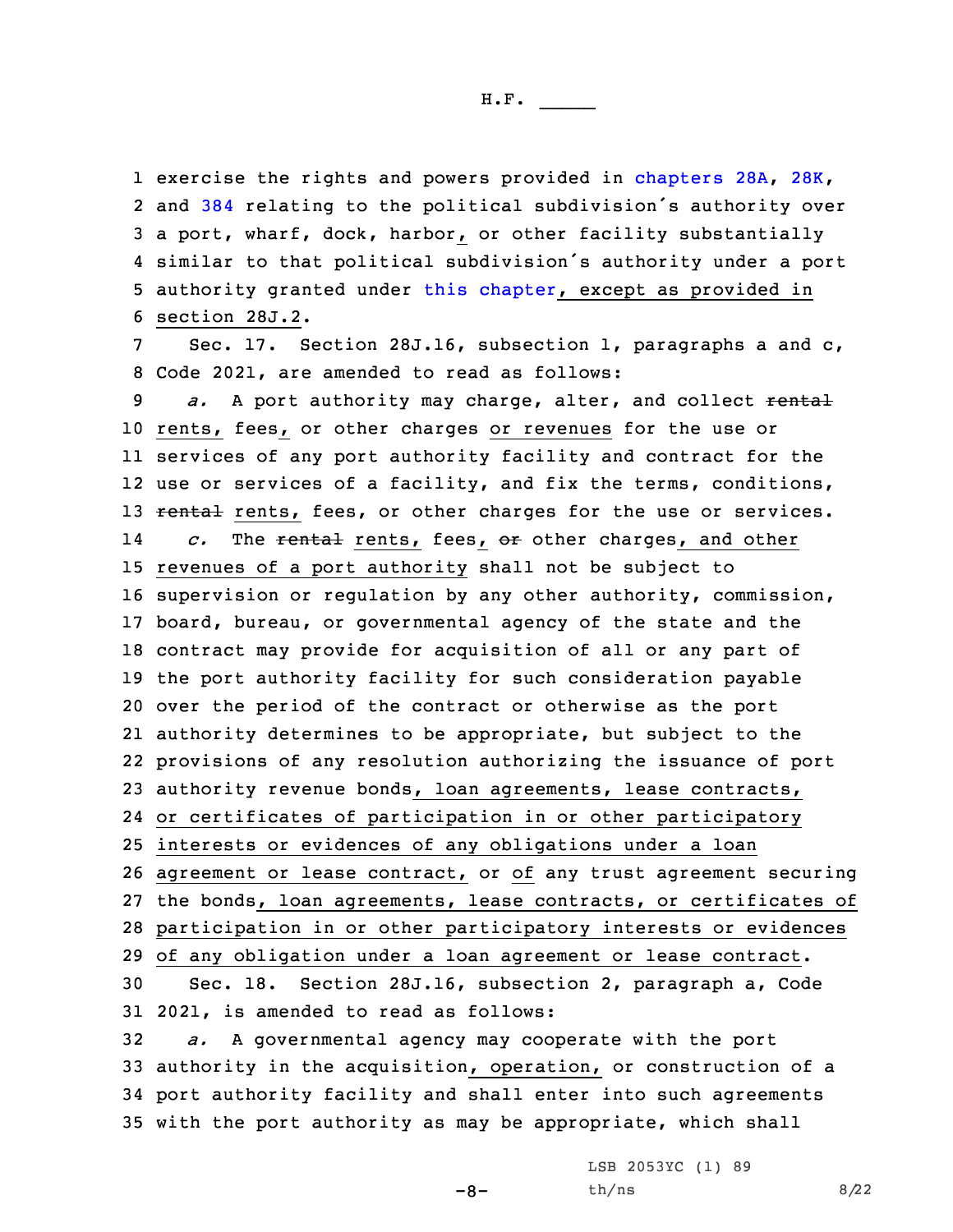1 exercise the rights and powers provided in [chapters](https://www.legis.iowa.gov/docs/code/2021/28A.pdf) 28A, [28K](https://www.legis.iowa.gov/docs/code/2021/28K.pdf), and [384](https://www.legis.iowa.gov/docs/code/2021/384.pdf) relating to the political subdivision's authority over <sup>a</sup> port, wharf, dock, harbor, or other facility substantially similar to that political subdivision's authority under <sup>a</sup> port authority granted under this [chapter](https://www.legis.iowa.gov/docs/code/2021/28J.pdf), except as provided in section 28J.2.

7 Sec. 17. Section 28J.16, subsection 1, paragraphs <sup>a</sup> and c, 8 Code 2021, are amended to read as follows:

*a.* A port authority may charge, alter, and collect rental rents, fees, or other charges or revenues for the use or services of any port authority facility and contract for the use or services of <sup>a</sup> facility, and fix the terms, conditions, 13 rental rents, fees, or other charges for the use or services. 14 *c.* The rental rents, fees, or other charges, and other revenues of <sup>a</sup> port authority shall not be subject to supervision or regulation by any other authority, commission, board, bureau, or governmental agency of the state and the contract may provide for acquisition of all or any part of the port authority facility for such consideration payable over the period of the contract or otherwise as the port authority determines to be appropriate, but subject to the provisions of any resolution authorizing the issuance of port authority revenue bonds, loan agreements, lease contracts, or certificates of participation in or other participatory interests or evidences of any obligations under <sup>a</sup> loan agreement or lease contract, or of any trust agreement securing the bonds, loan agreements, lease contracts, or certificates of participation in or other participatory interests or evidences of any obligation under <sup>a</sup> loan agreement or lease contract. Sec. 18. Section 28J.16, subsection 2, paragraph a, Code 2021, is amended to read as follows:

 *a.* <sup>A</sup> governmental agency may cooperate with the port authority in the acquisition, operation, or construction of <sup>a</sup> port authority facility and shall enter into such agreements with the port authority as may be appropriate, which shall

 $-8-$ 

LSB 2053YC (1) 89  $th/ns$  8/22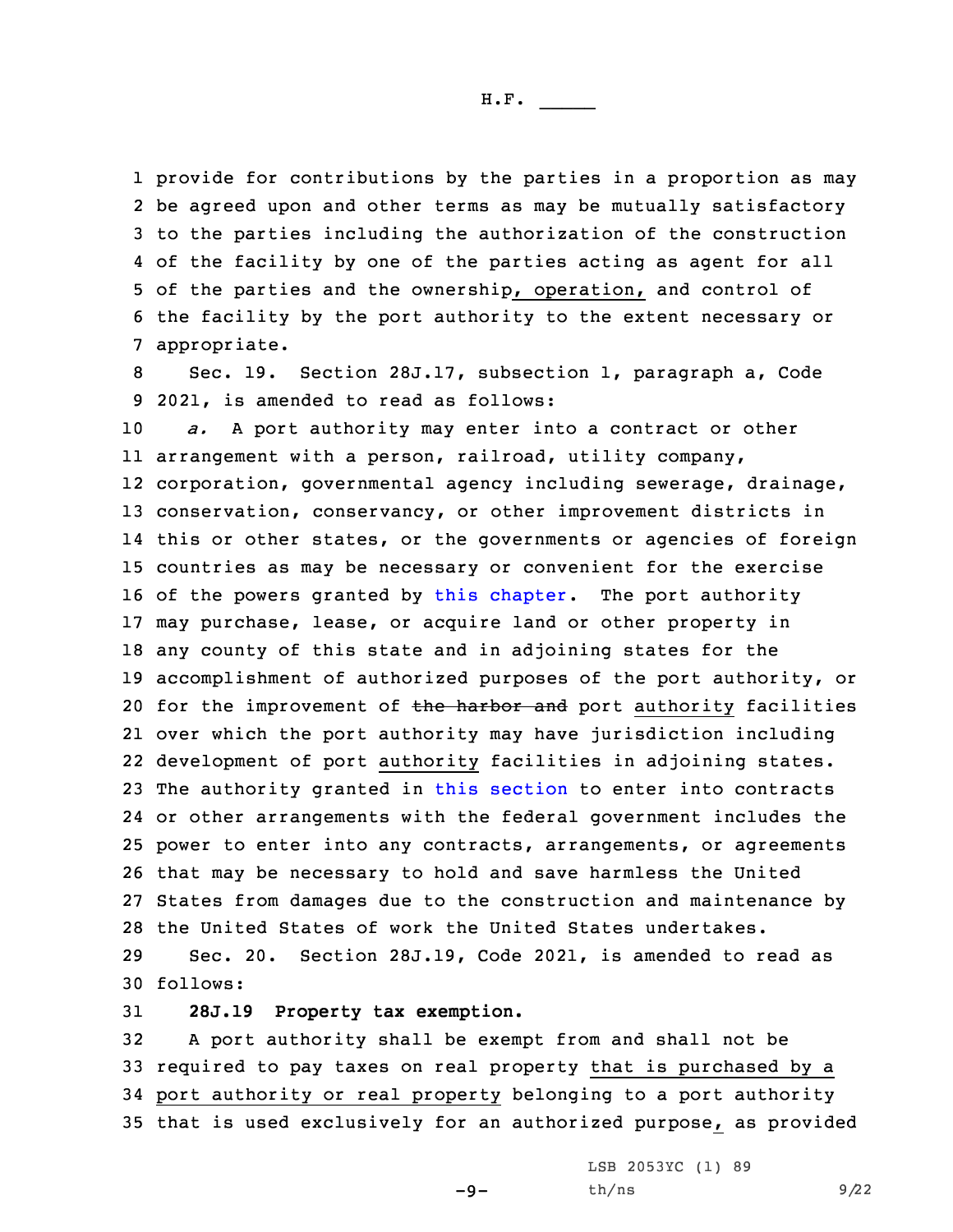provide for contributions by the parties in <sup>a</sup> proportion as may be agreed upon and other terms as may be mutually satisfactory to the parties including the authorization of the construction of the facility by one of the parties acting as agent for all of the parties and the ownership, operation, and control of the facility by the port authority to the extent necessary or appropriate.

8 Sec. 19. Section 28J.17, subsection 1, paragraph a, Code 9 2021, is amended to read as follows:

 *a.* <sup>A</sup> port authority may enter into <sup>a</sup> contract or other arrangement with <sup>a</sup> person, railroad, utility company, corporation, governmental agency including sewerage, drainage, conservation, conservancy, or other improvement districts in this or other states, or the governments or agencies of foreign countries as may be necessary or convenient for the exercise of the powers granted by this [chapter](https://www.legis.iowa.gov/docs/code/2021/28J.pdf). The port authority may purchase, lease, or acquire land or other property in any county of this state and in adjoining states for the accomplishment of authorized purposes of the port authority, or 20 for the improvement of the harbor and port authority facilities over which the port authority may have jurisdiction including development of port authority facilities in adjoining states. The authority granted in this [section](https://www.legis.iowa.gov/docs/code/2021/28J.17.pdf) to enter into contracts or other arrangements with the federal government includes the power to enter into any contracts, arrangements, or agreements that may be necessary to hold and save harmless the United States from damages due to the construction and maintenance by the United States of work the United States undertakes.

29 Sec. 20. Section 28J.19, Code 2021, is amended to read as 30 follows:

31 **28J.19 Property tax exemption.**

 <sup>A</sup> port authority shall be exempt from and shall not be required to pay taxes on real property that is purchased by <sup>a</sup> port authority or real property belonging to <sup>a</sup> port authority that is used exclusively for an authorized purpose, as provided

 $-9-$ 

LSB 2053YC (1) 89  $th/ns$  9/22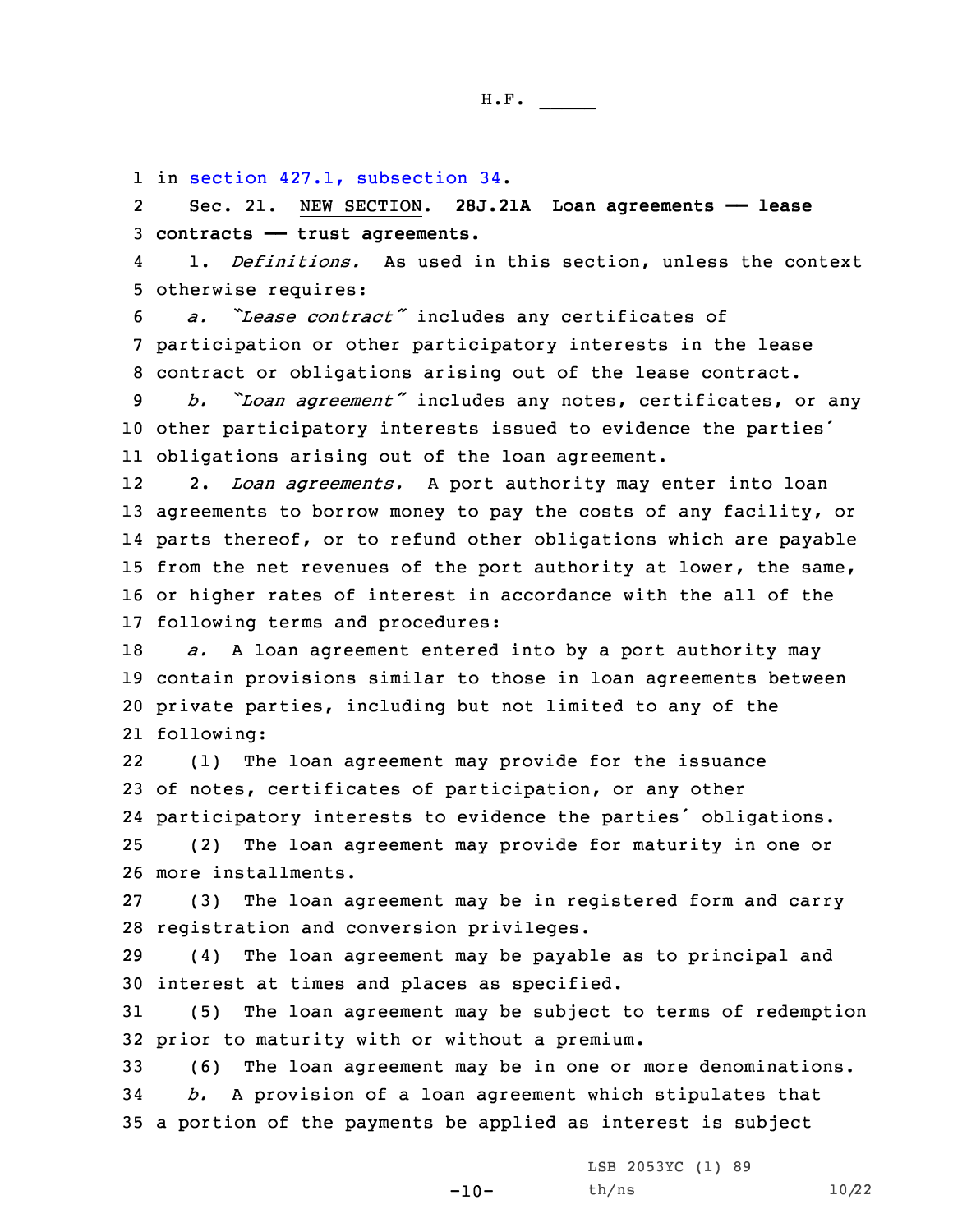1 in section 427.1, [subsection](https://www.legis.iowa.gov/docs/code/2021/427.1.pdf) 34.

2 Sec. 21. NEW SECTION. **28J.21A Loan agreements —— lease** 3 **contracts —— trust agreements.**

4 1. *Definitions.* As used in this section, unless the context 5 otherwise requires:

<sup>6</sup> *a. "Lease contract"* includes any certificates of 7 participation or other participatory interests in the lease 8 contract or obligations arising out of the lease contract.

<sup>9</sup> *b. "Loan agreement"* includes any notes, certificates, or any <sup>10</sup> other participatory interests issued to evidence the parties' 11 obligations arising out of the loan agreement.

12 2. *Loan agreements.* <sup>A</sup> port authority may enter into loan agreements to borrow money to pay the costs of any facility, or parts thereof, or to refund other obligations which are payable from the net revenues of the port authority at lower, the same, or higher rates of interest in accordance with the all of the following terms and procedures:

 *a.* <sup>A</sup> loan agreement entered into by <sup>a</sup> port authority may contain provisions similar to those in loan agreements between private parties, including but not limited to any of the following:

22 (1) The loan agreement may provide for the issuance of notes, certificates of participation, or any other participatory interests to evidence the parties' obligations. (2) The loan agreement may provide for maturity in one or more installments.

27 (3) The loan agreement may be in registered form and carry 28 registration and conversion privileges.

29 (4) The loan agreement may be payable as to principal and 30 interest at times and places as specified.

31 (5) The loan agreement may be subject to terms of redemption 32 prior to maturity with or without <sup>a</sup> premium.

33 (6) The loan agreement may be in one or more denominations. 34 *b.* <sup>A</sup> provision of <sup>a</sup> loan agreement which stipulates that 35 <sup>a</sup> portion of the payments be applied as interest is subject

 $-10-$ 

LSB 2053YC (1) 89 th/ns 10/22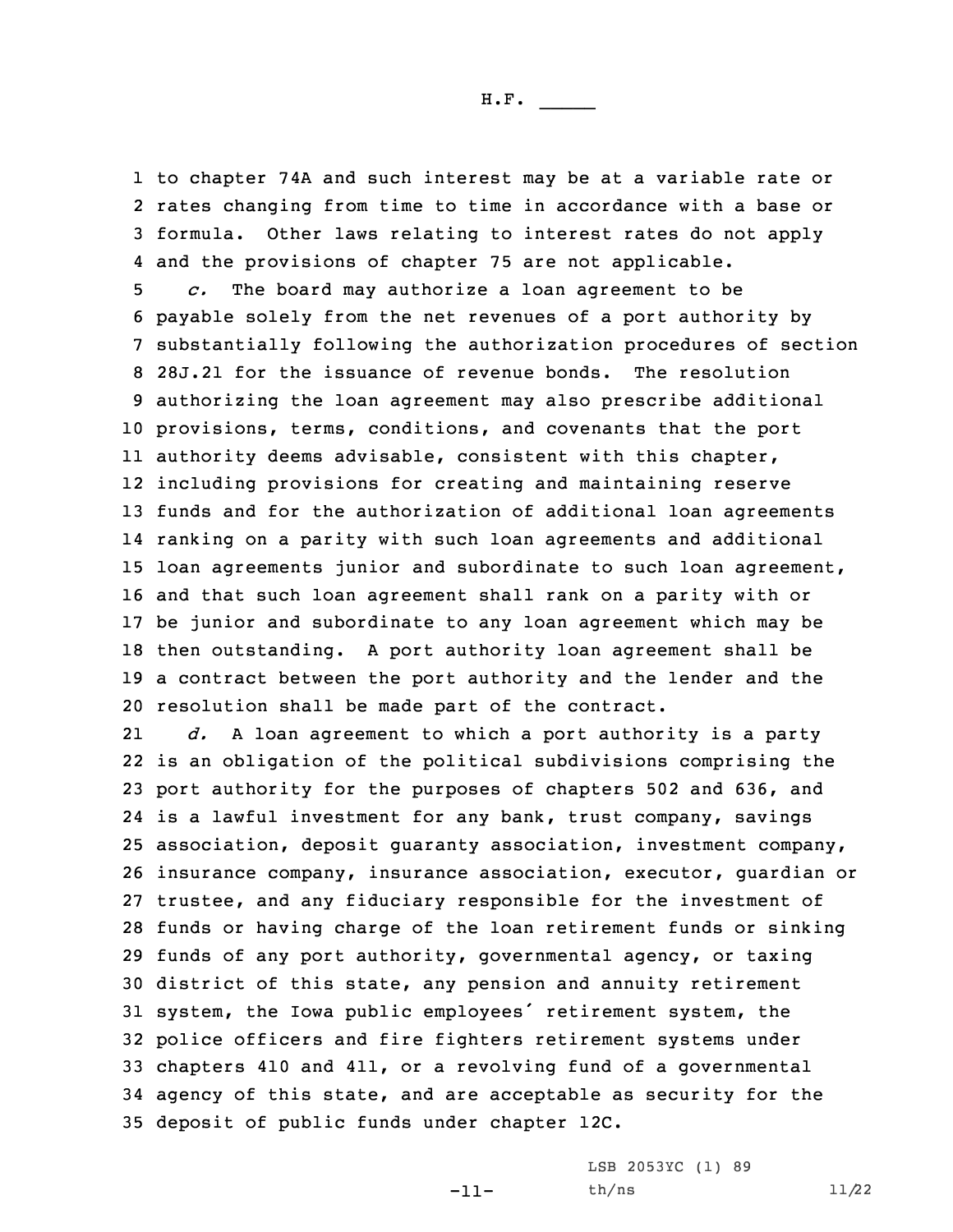to chapter 74A and such interest may be at <sup>a</sup> variable rate or rates changing from time to time in accordance with <sup>a</sup> base or formula. Other laws relating to interest rates do not apply and the provisions of chapter 75 are not applicable.

 *c.* The board may authorize <sup>a</sup> loan agreement to be payable solely from the net revenues of <sup>a</sup> port authority by substantially following the authorization procedures of section 28J.21 for the issuance of revenue bonds. The resolution authorizing the loan agreement may also prescribe additional provisions, terms, conditions, and covenants that the port authority deems advisable, consistent with this chapter, including provisions for creating and maintaining reserve funds and for the authorization of additional loan agreements ranking on <sup>a</sup> parity with such loan agreements and additional loan agreements junior and subordinate to such loan agreement, and that such loan agreement shall rank on <sup>a</sup> parity with or be junior and subordinate to any loan agreement which may be then outstanding. <sup>A</sup> port authority loan agreement shall be <sup>a</sup> contract between the port authority and the lender and the resolution shall be made part of the contract.

21 *d.* <sup>A</sup> loan agreement to which <sup>a</sup> port authority is <sup>a</sup> party is an obligation of the political subdivisions comprising the port authority for the purposes of chapters 502 and 636, and is <sup>a</sup> lawful investment for any bank, trust company, savings association, deposit guaranty association, investment company, insurance company, insurance association, executor, guardian or trustee, and any fiduciary responsible for the investment of funds or having charge of the loan retirement funds or sinking funds of any port authority, governmental agency, or taxing district of this state, any pension and annuity retirement system, the Iowa public employees' retirement system, the police officers and fire fighters retirement systems under chapters 410 and 411, or <sup>a</sup> revolving fund of <sup>a</sup> governmental agency of this state, and are acceptable as security for the deposit of public funds under chapter 12C.

-11-

LSB 2053YC (1) 89 th/ns 11/22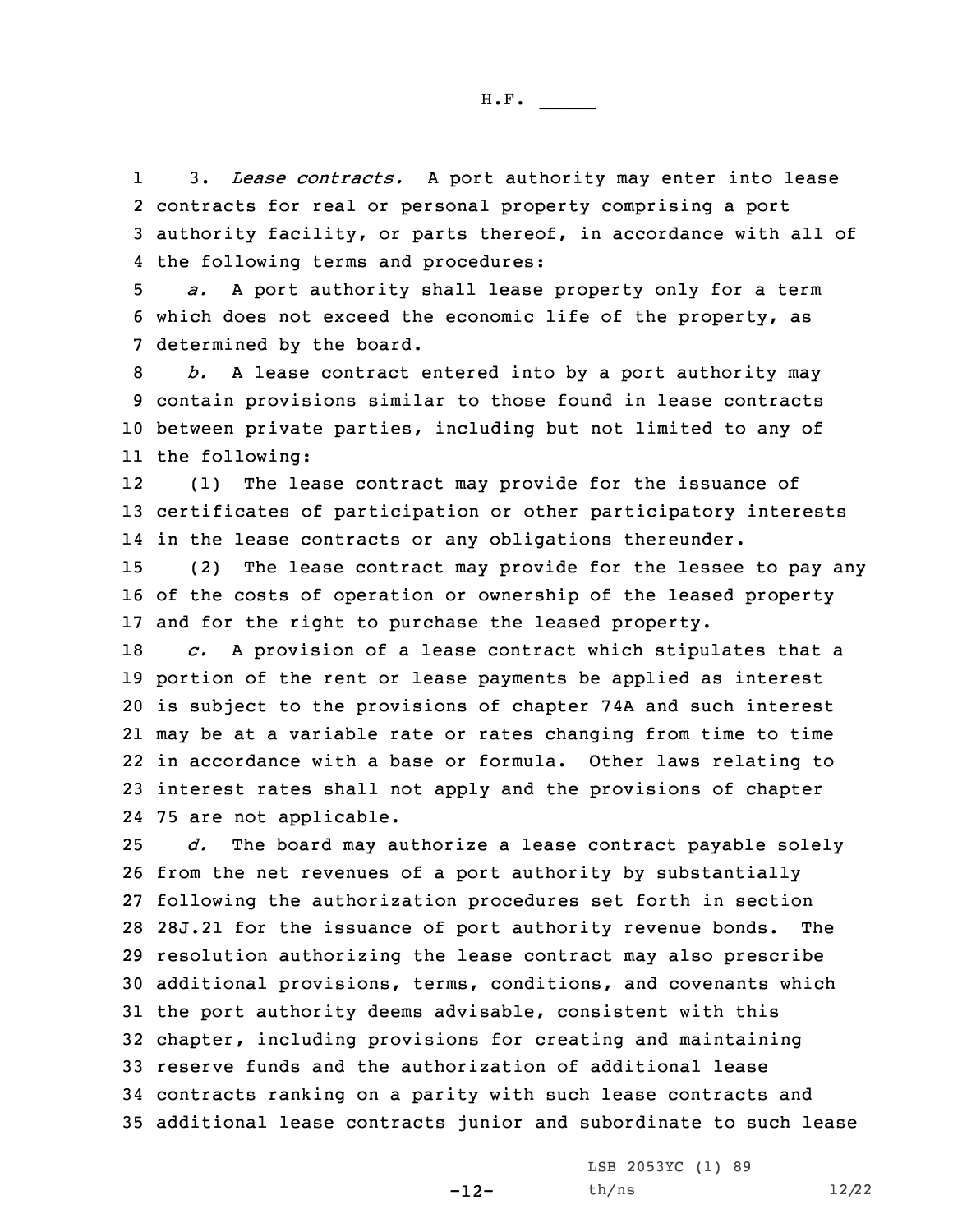1 3. *Lease contracts.* <sup>A</sup> port authority may enter into lease 2 contracts for real or personal property comprising <sup>a</sup> port 3 authority facility, or parts thereof, in accordance with all of 4 the following terms and procedures:

5 *a.* <sup>A</sup> port authority shall lease property only for <sup>a</sup> term 6 which does not exceed the economic life of the property, as 7 determined by the board.

 *b.* <sup>A</sup> lease contract entered into by <sup>a</sup> port authority may contain provisions similar to those found in lease contracts between private parties, including but not limited to any of the following:

12 (1) The lease contract may provide for the issuance of 13 certificates of participation or other participatory interests 14 in the lease contracts or any obligations thereunder.

15 (2) The lease contract may provide for the lessee to pay any 16 of the costs of operation or ownership of the leased property 17 and for the right to purchase the leased property.

 *c.* <sup>A</sup> provision of <sup>a</sup> lease contract which stipulates that <sup>a</sup> portion of the rent or lease payments be applied as interest is subject to the provisions of chapter 74A and such interest may be at <sup>a</sup> variable rate or rates changing from time to time in accordance with <sup>a</sup> base or formula. Other laws relating to interest rates shall not apply and the provisions of chapter 75 are not applicable.

 *d.* The board may authorize <sup>a</sup> lease contract payable solely from the net revenues of <sup>a</sup> port authority by substantially following the authorization procedures set forth in section 28J.21 for the issuance of port authority revenue bonds. The resolution authorizing the lease contract may also prescribe additional provisions, terms, conditions, and covenants which the port authority deems advisable, consistent with this chapter, including provisions for creating and maintaining reserve funds and the authorization of additional lease contracts ranking on <sup>a</sup> parity with such lease contracts and additional lease contracts junior and subordinate to such lease

-12-

LSB 2053YC (1) 89 th/ns 12/22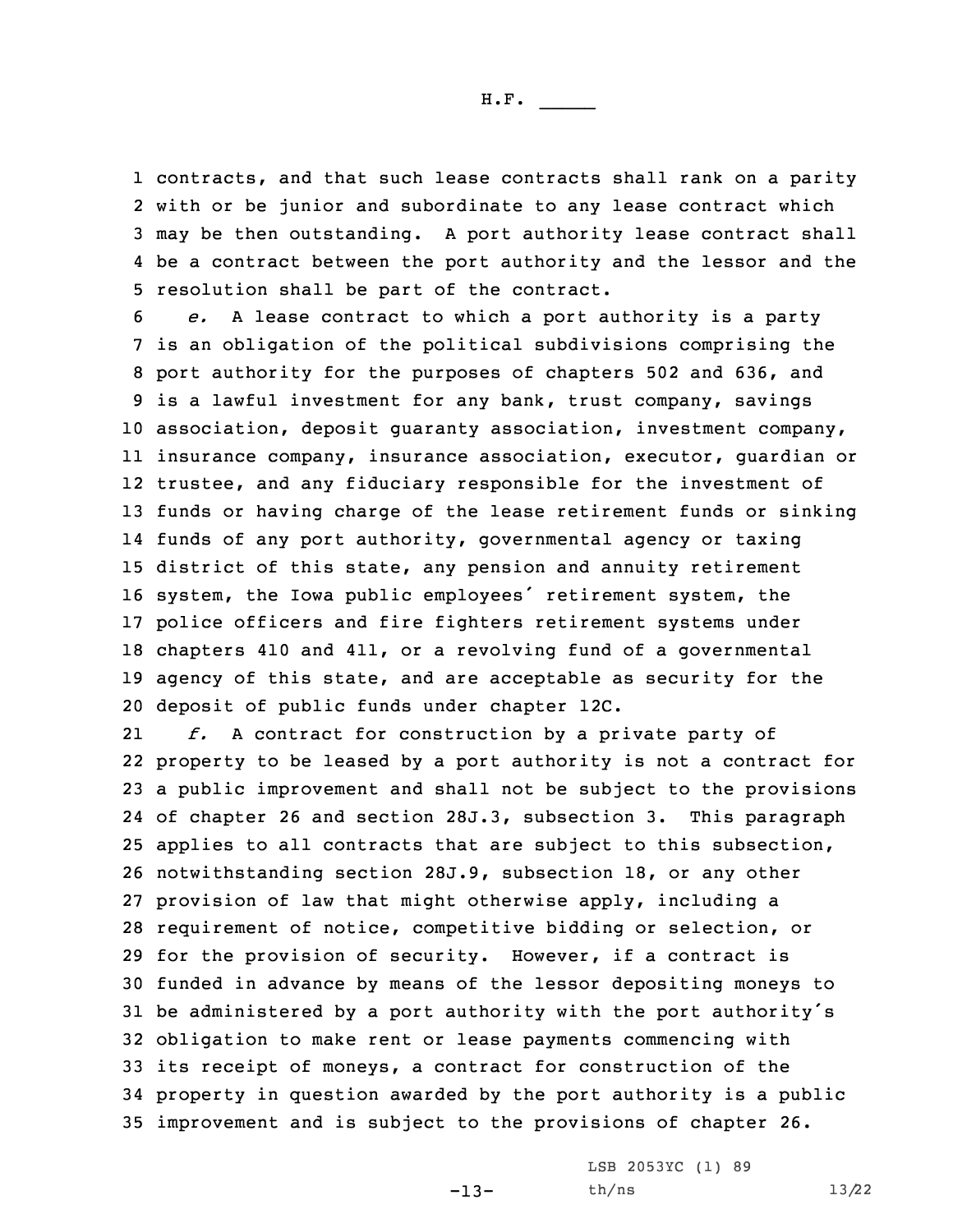contracts, and that such lease contracts shall rank on <sup>a</sup> parity with or be junior and subordinate to any lease contract which may be then outstanding. <sup>A</sup> port authority lease contract shall be <sup>a</sup> contract between the port authority and the lessor and the resolution shall be part of the contract.

 *e.* <sup>A</sup> lease contract to which <sup>a</sup> port authority is <sup>a</sup> party is an obligation of the political subdivisions comprising the port authority for the purposes of chapters 502 and 636, and is <sup>a</sup> lawful investment for any bank, trust company, savings association, deposit guaranty association, investment company, insurance company, insurance association, executor, guardian or trustee, and any fiduciary responsible for the investment of funds or having charge of the lease retirement funds or sinking funds of any port authority, governmental agency or taxing district of this state, any pension and annuity retirement system, the Iowa public employees' retirement system, the police officers and fire fighters retirement systems under chapters 410 and 411, or <sup>a</sup> revolving fund of <sup>a</sup> governmental agency of this state, and are acceptable as security for the deposit of public funds under chapter 12C.

21 *f.* <sup>A</sup> contract for construction by <sup>a</sup> private party of property to be leased by <sup>a</sup> port authority is not <sup>a</sup> contract for <sup>a</sup> public improvement and shall not be subject to the provisions of chapter 26 and section 28J.3, subsection 3. This paragraph applies to all contracts that are subject to this subsection, notwithstanding section 28J.9, subsection 18, or any other provision of law that might otherwise apply, including <sup>a</sup> requirement of notice, competitive bidding or selection, or for the provision of security. However, if <sup>a</sup> contract is funded in advance by means of the lessor depositing moneys to be administered by <sup>a</sup> port authority with the port authority's obligation to make rent or lease payments commencing with its receipt of moneys, <sup>a</sup> contract for construction of the property in question awarded by the port authority is <sup>a</sup> public improvement and is subject to the provisions of chapter 26.

-13-

LSB 2053YC (1) 89 th/ns 13/22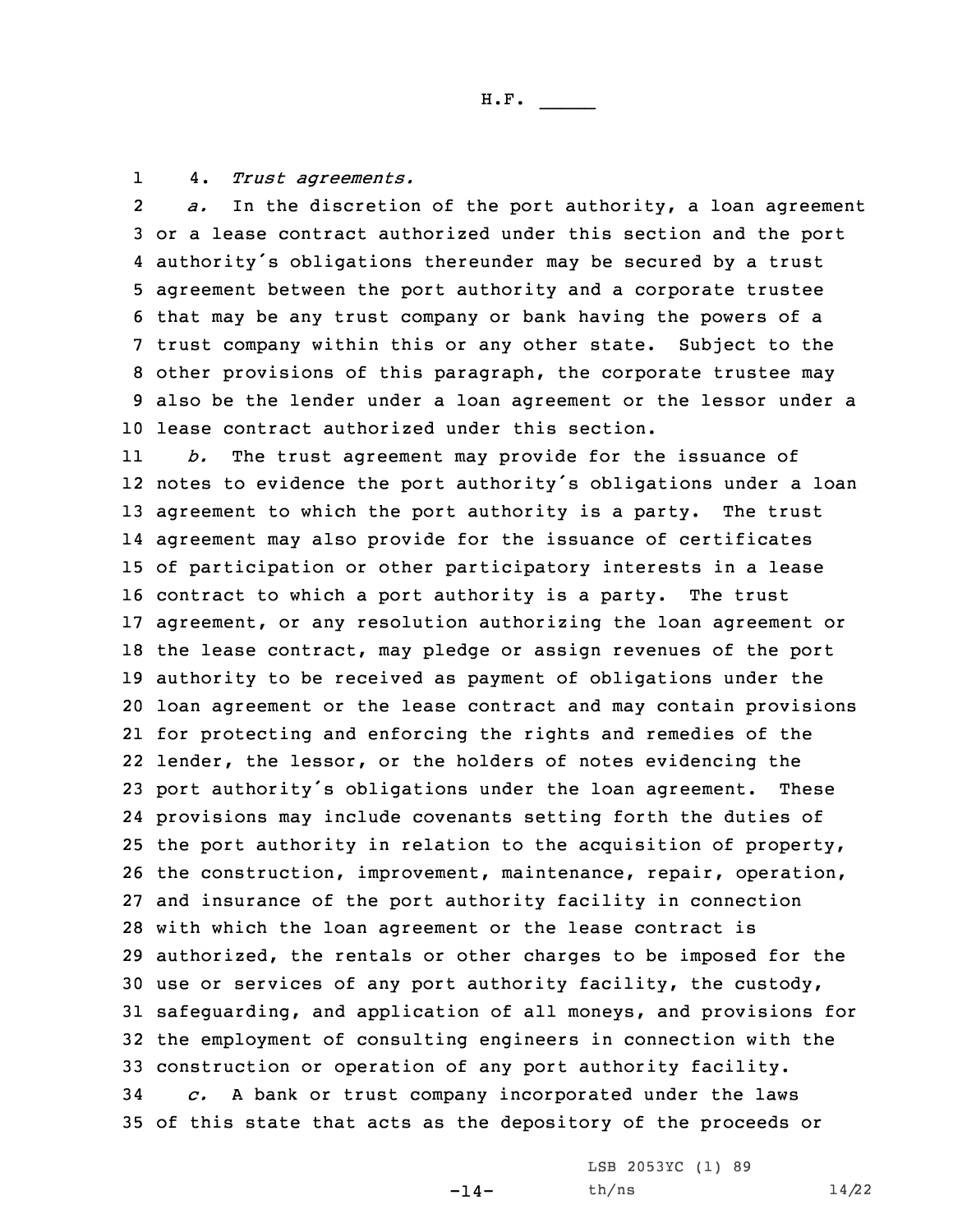14. *Trust agreements.*

2 *a.* In the discretion of the port authority, <sup>a</sup> loan agreement or <sup>a</sup> lease contract authorized under this section and the port authority's obligations thereunder may be secured by <sup>a</sup> trust agreement between the port authority and <sup>a</sup> corporate trustee that may be any trust company or bank having the powers of <sup>a</sup> trust company within this or any other state. Subject to the other provisions of this paragraph, the corporate trustee may also be the lender under <sup>a</sup> loan agreement or the lessor under <sup>a</sup> lease contract authorized under this section.

11 *b.* The trust agreement may provide for the issuance of notes to evidence the port authority's obligations under <sup>a</sup> loan agreement to which the port authority is <sup>a</sup> party. The trust agreement may also provide for the issuance of certificates of participation or other participatory interests in <sup>a</sup> lease contract to which <sup>a</sup> port authority is <sup>a</sup> party. The trust agreement, or any resolution authorizing the loan agreement or the lease contract, may pledge or assign revenues of the port authority to be received as payment of obligations under the loan agreement or the lease contract and may contain provisions for protecting and enforcing the rights and remedies of the lender, the lessor, or the holders of notes evidencing the port authority's obligations under the loan agreement. These provisions may include covenants setting forth the duties of the port authority in relation to the acquisition of property, the construction, improvement, maintenance, repair, operation, and insurance of the port authority facility in connection with which the loan agreement or the lease contract is authorized, the rentals or other charges to be imposed for the use or services of any port authority facility, the custody, safeguarding, and application of all moneys, and provisions for the employment of consulting engineers in connection with the construction or operation of any port authority facility. *c.* <sup>A</sup> bank or trust company incorporated under the laws of this state that acts as the depository of the proceeds or

 $-14-$ 

LSB 2053YC (1) 89 th/ns 14/22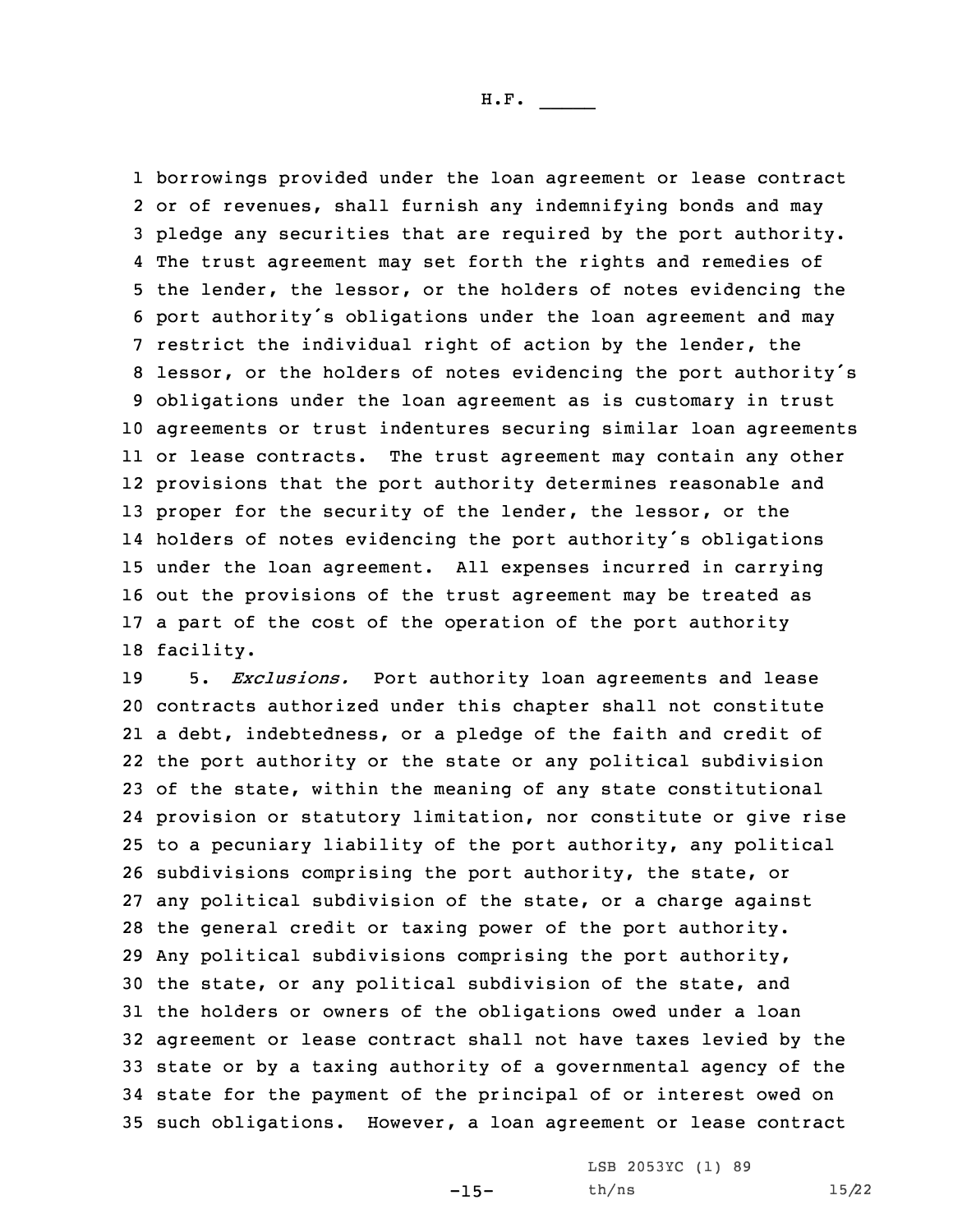borrowings provided under the loan agreement or lease contract or of revenues, shall furnish any indemnifying bonds and may pledge any securities that are required by the port authority. The trust agreement may set forth the rights and remedies of the lender, the lessor, or the holders of notes evidencing the port authority's obligations under the loan agreement and may restrict the individual right of action by the lender, the lessor, or the holders of notes evidencing the port authority's obligations under the loan agreement as is customary in trust agreements or trust indentures securing similar loan agreements or lease contracts. The trust agreement may contain any other provisions that the port authority determines reasonable and proper for the security of the lender, the lessor, or the holders of notes evidencing the port authority's obligations under the loan agreement. All expenses incurred in carrying out the provisions of the trust agreement may be treated as <sup>a</sup> part of the cost of the operation of the port authority facility.

 5. *Exclusions.* Port authority loan agreements and lease contracts authorized under this chapter shall not constitute <sup>a</sup> debt, indebtedness, or <sup>a</sup> pledge of the faith and credit of the port authority or the state or any political subdivision of the state, within the meaning of any state constitutional provision or statutory limitation, nor constitute or give rise to <sup>a</sup> pecuniary liability of the port authority, any political subdivisions comprising the port authority, the state, or any political subdivision of the state, or <sup>a</sup> charge against the general credit or taxing power of the port authority. Any political subdivisions comprising the port authority, the state, or any political subdivision of the state, and the holders or owners of the obligations owed under <sup>a</sup> loan agreement or lease contract shall not have taxes levied by the state or by <sup>a</sup> taxing authority of <sup>a</sup> governmental agency of the state for the payment of the principal of or interest owed on such obligations. However, <sup>a</sup> loan agreement or lease contract

 $-15-$ 

LSB 2053YC (1) 89 th/ns 15/22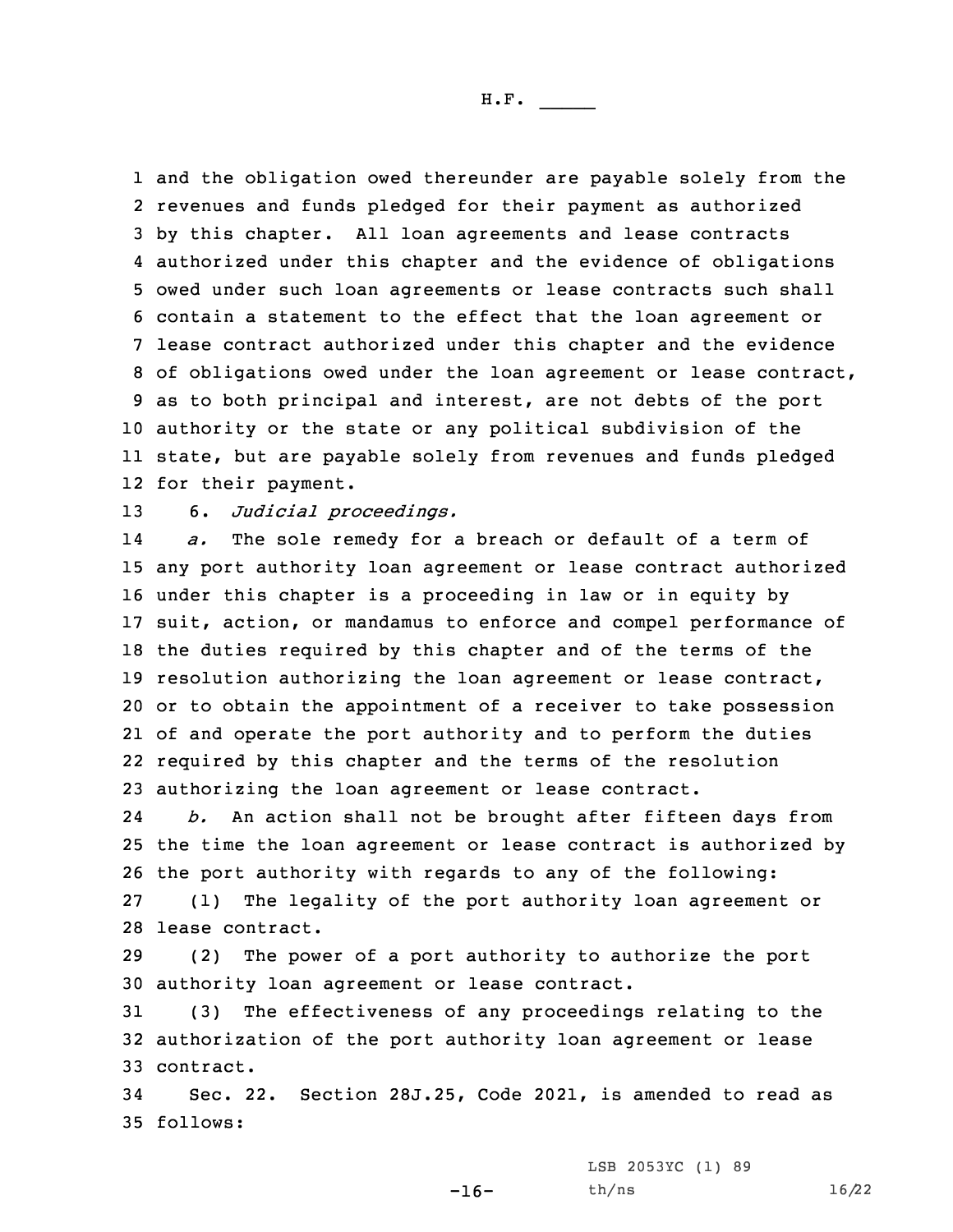and the obligation owed thereunder are payable solely from the revenues and funds pledged for their payment as authorized by this chapter. All loan agreements and lease contracts authorized under this chapter and the evidence of obligations owed under such loan agreements or lease contracts such shall contain <sup>a</sup> statement to the effect that the loan agreement or lease contract authorized under this chapter and the evidence of obligations owed under the loan agreement or lease contract, as to both principal and interest, are not debts of the port authority or the state or any political subdivision of the state, but are payable solely from revenues and funds pledged for their payment.

13 6. *Judicial proceedings.*

14 *a.* The sole remedy for <sup>a</sup> breach or default of <sup>a</sup> term of any port authority loan agreement or lease contract authorized under this chapter is <sup>a</sup> proceeding in law or in equity by suit, action, or mandamus to enforce and compel performance of the duties required by this chapter and of the terms of the resolution authorizing the loan agreement or lease contract, or to obtain the appointment of <sup>a</sup> receiver to take possession of and operate the port authority and to perform the duties required by this chapter and the terms of the resolution authorizing the loan agreement or lease contract.

24 *b.* An action shall not be brought after fifteen days from the time the loan agreement or lease contract is authorized by the port authority with regards to any of the following: (1) The legality of the port authority loan agreement or lease contract.

29 (2) The power of <sup>a</sup> port authority to authorize the port 30 authority loan agreement or lease contract.

31 (3) The effectiveness of any proceedings relating to the 32 authorization of the port authority loan agreement or lease 33 contract.

34 Sec. 22. Section 28J.25, Code 2021, is amended to read as 35 follows:

LSB 2053YC (1) 89

 $-16-$ 

th/ns 16/22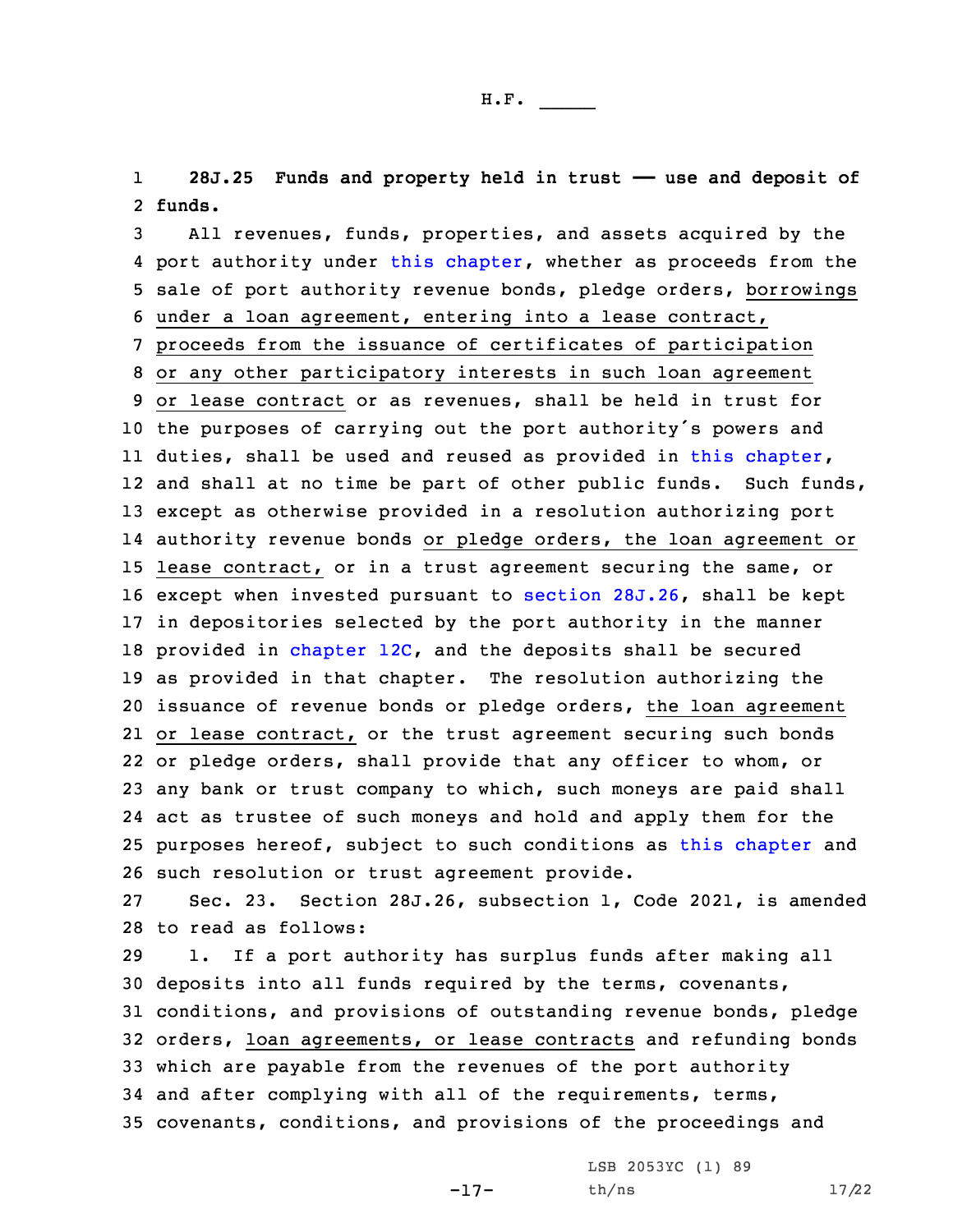1 **28J.25 Funds and property held in trust —— use and deposit of** 2 **funds.**

 All revenues, funds, properties, and assets acquired by the 4 port authority under this [chapter](https://www.legis.iowa.gov/docs/code/2021/28J.pdf), whether as proceeds from the sale of port authority revenue bonds, pledge orders, borrowings under <sup>a</sup> loan agreement, entering into <sup>a</sup> lease contract, proceeds from the issuance of certificates of participation or any other participatory interests in such loan agreement or lease contract or as revenues, shall be held in trust for the purposes of carrying out the port authority's powers and duties, shall be used and reused as provided in this [chapter](https://www.legis.iowa.gov/docs/code/2021/28J.pdf), 12 and shall at no time be part of other public funds. Such funds, except as otherwise provided in <sup>a</sup> resolution authorizing port authority revenue bonds or pledge orders, the loan agreement or lease contract, or in <sup>a</sup> trust agreement securing the same, or except when invested pursuant to [section](https://www.legis.iowa.gov/docs/code/2021/28J.26.pdf) 28J.26, shall be kept in depositories selected by the port authority in the manner 18 provided in [chapter](https://www.legis.iowa.gov/docs/code/2021/12C.pdf) 12C, and the deposits shall be secured as provided in that chapter. The resolution authorizing the issuance of revenue bonds or pledge orders, the loan agreement or lease contract, or the trust agreement securing such bonds or pledge orders, shall provide that any officer to whom, or any bank or trust company to which, such moneys are paid shall act as trustee of such moneys and hold and apply them for the purposes hereof, subject to such conditions as this [chapter](https://www.legis.iowa.gov/docs/code/2021/28J.pdf) and such resolution or trust agreement provide.

27 Sec. 23. Section 28J.26, subsection 1, Code 2021, is amended 28 to read as follows:

 1. If <sup>a</sup> port authority has surplus funds after making all deposits into all funds required by the terms, covenants, conditions, and provisions of outstanding revenue bonds, pledge orders, loan agreements, or lease contracts and refunding bonds which are payable from the revenues of the port authority and after complying with all of the requirements, terms, covenants, conditions, and provisions of the proceedings and

-17-

LSB 2053YC (1) 89 th/ns 17/22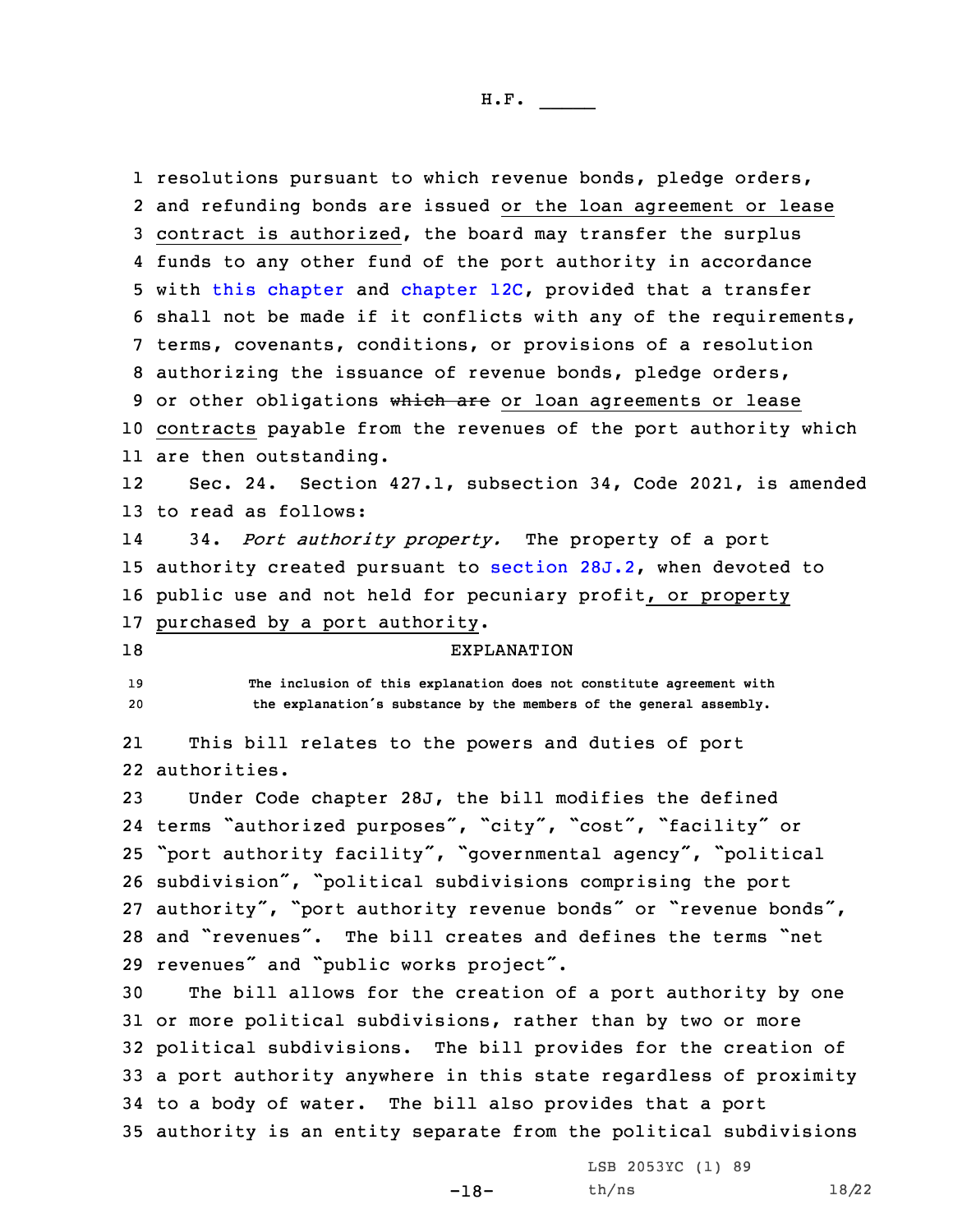resolutions pursuant to which revenue bonds, pledge orders, and refunding bonds are issued or the loan agreement or lease contract is authorized, the board may transfer the surplus funds to any other fund of the port authority in accordance with this [chapter](https://www.legis.iowa.gov/docs/code/2021/28J.pdf) and [chapter](https://www.legis.iowa.gov/docs/code/2021/12C.pdf) 12C, provided that <sup>a</sup> transfer shall not be made if it conflicts with any of the requirements, terms, covenants, conditions, or provisions of <sup>a</sup> resolution authorizing the issuance of revenue bonds, pledge orders, 9 or other obligations which are or loan agreements or lease contracts payable from the revenues of the port authority which are then outstanding. 12 Sec. 24. Section 427.1, subsection 34, Code 2021, is amended to read as follows: 14 34. *Port authority property.* The property of <sup>a</sup> port authority created pursuant to [section](https://www.legis.iowa.gov/docs/code/2021/28J.2.pdf) 28J.2, when devoted to 16 public use and not held for pecuniary profit, or property purchased by <sup>a</sup> port authority. EXPLANATION **The inclusion of this explanation does not constitute agreement with the explanation's substance by the members of the general assembly.** 21 This bill relates to the powers and duties of port authorities. Under Code chapter 28J, the bill modifies the defined terms "authorized purposes", "city", "cost", "facility" or "port authority facility", "governmental agency", "political subdivision", "political subdivisions comprising the port authority", "port authority revenue bonds" or "revenue bonds", and "revenues". The bill creates and defines the terms "net revenues" and "public works project". The bill allows for the creation of <sup>a</sup> port authority by one or more political subdivisions, rather than by two or more political subdivisions. The bill provides for the creation of <sup>a</sup> port authority anywhere in this state regardless of proximity to <sup>a</sup> body of water. The bill also provides that <sup>a</sup> port authority is an entity separate from the political subdivisions

-18-

LSB 2053YC (1) 89 th/ns 18/22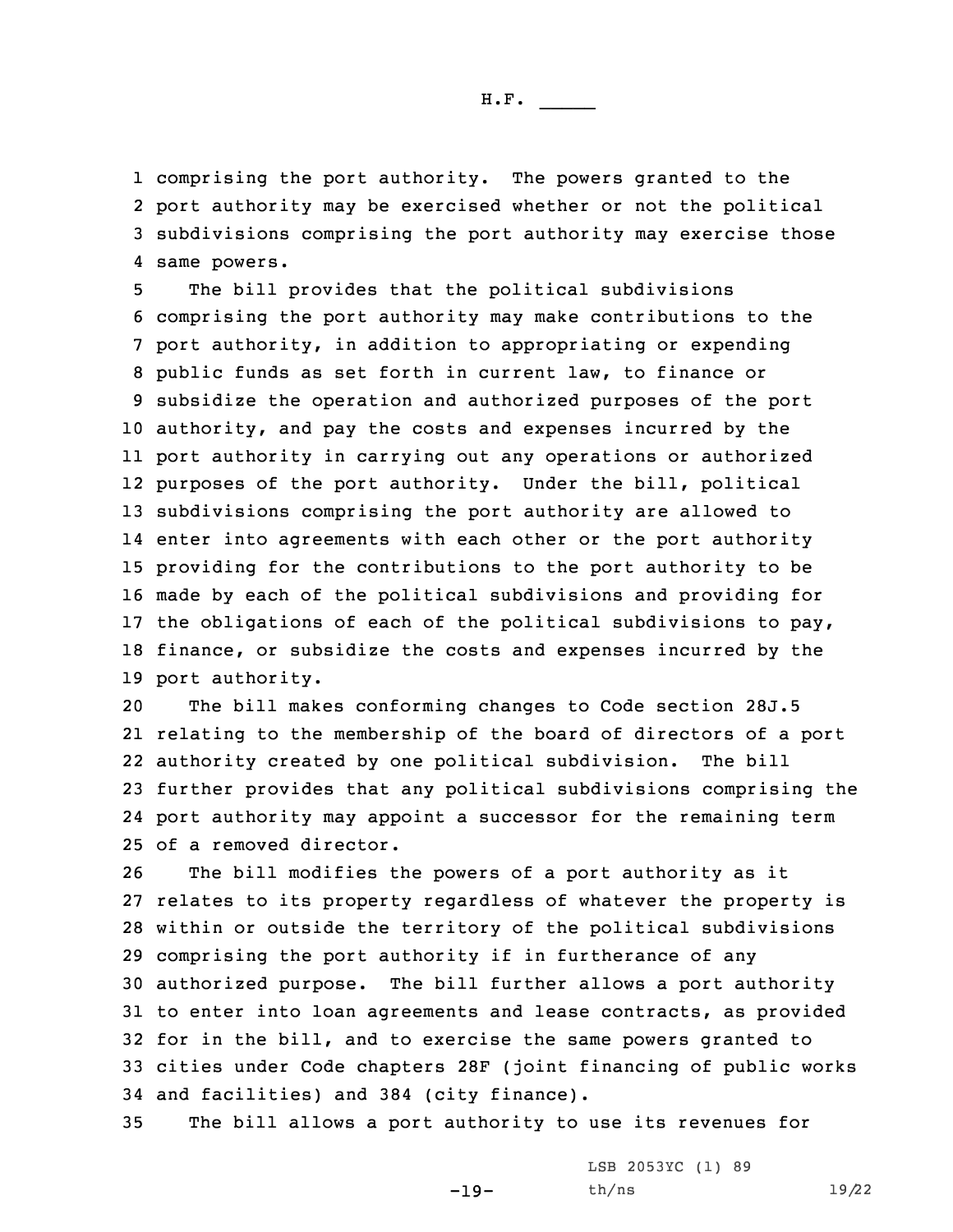comprising the port authority. The powers granted to the port authority may be exercised whether or not the political subdivisions comprising the port authority may exercise those same powers.

 The bill provides that the political subdivisions comprising the port authority may make contributions to the port authority, in addition to appropriating or expending public funds as set forth in current law, to finance or subsidize the operation and authorized purposes of the port authority, and pay the costs and expenses incurred by the port authority in carrying out any operations or authorized purposes of the port authority. Under the bill, political subdivisions comprising the port authority are allowed to enter into agreements with each other or the port authority providing for the contributions to the port authority to be made by each of the political subdivisions and providing for the obligations of each of the political subdivisions to pay, finance, or subsidize the costs and expenses incurred by the port authority.

 The bill makes conforming changes to Code section 28J.5 relating to the membership of the board of directors of <sup>a</sup> port authority created by one political subdivision. The bill further provides that any political subdivisions comprising the port authority may appoint <sup>a</sup> successor for the remaining term of <sup>a</sup> removed director.

 The bill modifies the powers of <sup>a</sup> port authority as it relates to its property regardless of whatever the property is within or outside the territory of the political subdivisions comprising the port authority if in furtherance of any authorized purpose. The bill further allows <sup>a</sup> port authority to enter into loan agreements and lease contracts, as provided for in the bill, and to exercise the same powers granted to cities under Code chapters 28F (joint financing of public works and facilities) and 384 (city finance).

35 The bill allows <sup>a</sup> port authority to use its revenues for

-19-

LSB 2053YC (1) 89 th/ns 19/22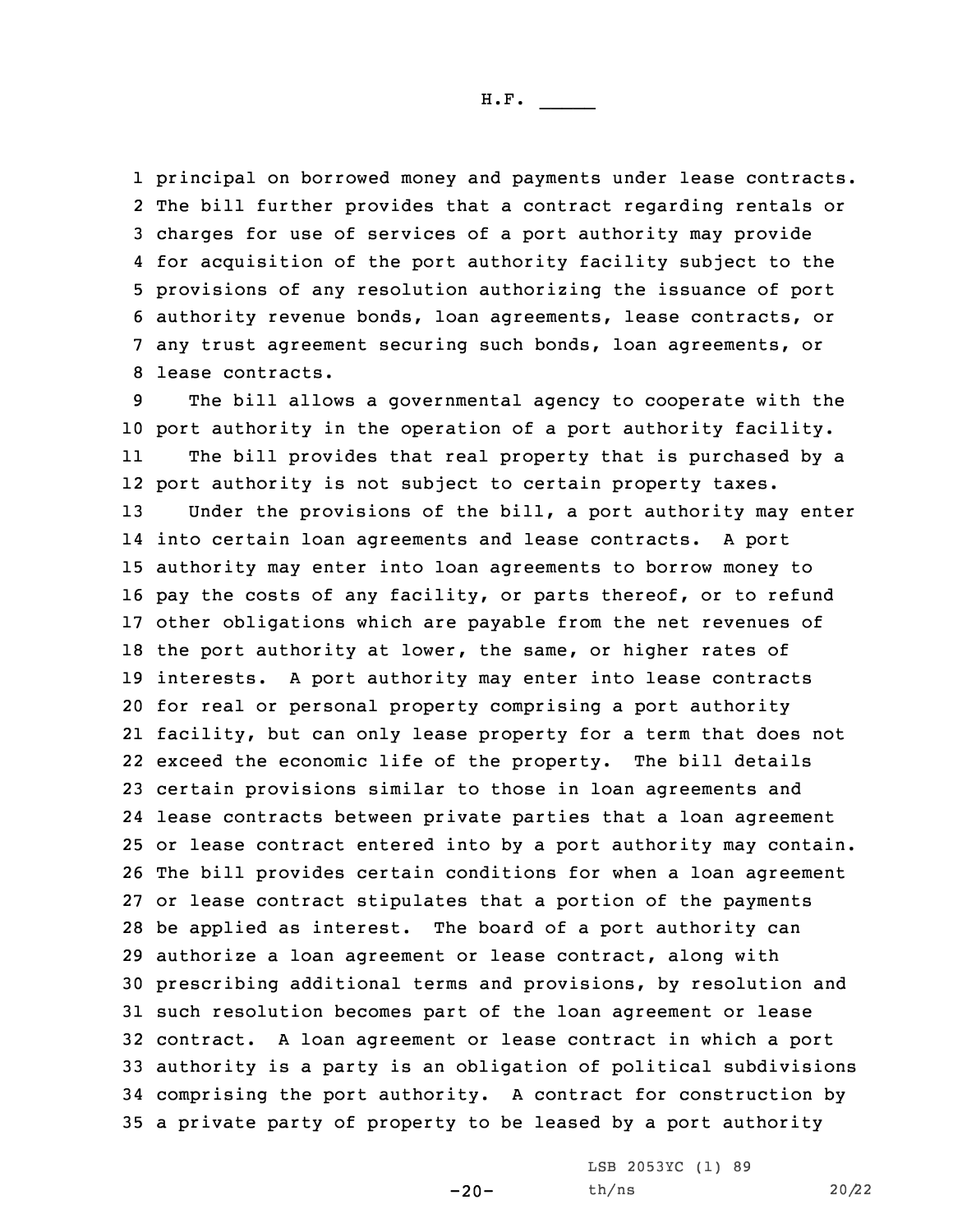principal on borrowed money and payments under lease contracts. The bill further provides that <sup>a</sup> contract regarding rentals or charges for use of services of <sup>a</sup> port authority may provide for acquisition of the port authority facility subject to the provisions of any resolution authorizing the issuance of port authority revenue bonds, loan agreements, lease contracts, or any trust agreement securing such bonds, loan agreements, or lease contracts.

 The bill allows <sup>a</sup> governmental agency to cooperate with the port authority in the operation of <sup>a</sup> port authority facility. 11 The bill provides that real property that is purchased by <sup>a</sup> port authority is not subject to certain property taxes. Under the provisions of the bill, <sup>a</sup> port authority may enter into certain loan agreements and lease contracts. <sup>A</sup> port authority may enter into loan agreements to borrow money to pay the costs of any facility, or parts thereof, or to refund other obligations which are payable from the net revenues of the port authority at lower, the same, or higher rates of interests. <sup>A</sup> port authority may enter into lease contracts for real or personal property comprising <sup>a</sup> port authority facility, but can only lease property for <sup>a</sup> term that does not exceed the economic life of the property. The bill details certain provisions similar to those in loan agreements and lease contracts between private parties that <sup>a</sup> loan agreement or lease contract entered into by <sup>a</sup> port authority may contain. The bill provides certain conditions for when <sup>a</sup> loan agreement or lease contract stipulates that <sup>a</sup> portion of the payments be applied as interest. The board of <sup>a</sup> port authority can authorize <sup>a</sup> loan agreement or lease contract, along with prescribing additional terms and provisions, by resolution and such resolution becomes part of the loan agreement or lease contract. <sup>A</sup> loan agreement or lease contract in which <sup>a</sup> port authority is <sup>a</sup> party is an obligation of political subdivisions comprising the port authority. <sup>A</sup> contract for construction by <sup>a</sup> private party of property to be leased by <sup>a</sup> port authority

 $-20-$ 

LSB 2053YC (1) 89 th/ns 20/22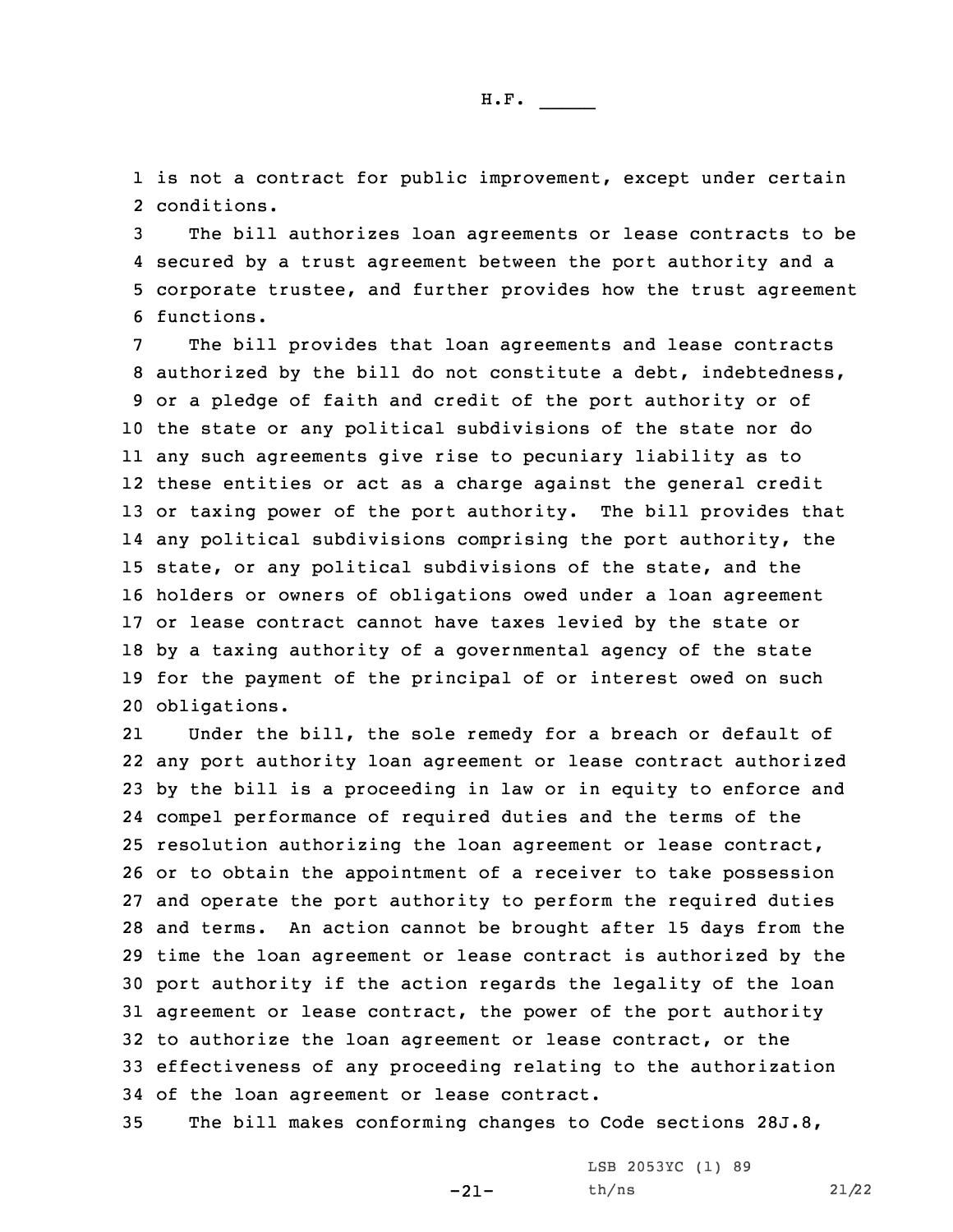1 is not <sup>a</sup> contract for public improvement, except under certain 2 conditions.

 The bill authorizes loan agreements or lease contracts to be secured by <sup>a</sup> trust agreement between the port authority and <sup>a</sup> corporate trustee, and further provides how the trust agreement functions.

The bill provides that loan agreements and lease contracts 8 authorized by the bill do not constitute a debt, indebtedness, or <sup>a</sup> pledge of faith and credit of the port authority or of the state or any political subdivisions of the state nor do any such agreements give rise to pecuniary liability as to these entities or act as <sup>a</sup> charge against the general credit or taxing power of the port authority. The bill provides that any political subdivisions comprising the port authority, the state, or any political subdivisions of the state, and the holders or owners of obligations owed under <sup>a</sup> loan agreement or lease contract cannot have taxes levied by the state or by <sup>a</sup> taxing authority of <sup>a</sup> governmental agency of the state for the payment of the principal of or interest owed on such obligations.

21 Under the bill, the sole remedy for <sup>a</sup> breach or default of any port authority loan agreement or lease contract authorized by the bill is <sup>a</sup> proceeding in law or in equity to enforce and compel performance of required duties and the terms of the resolution authorizing the loan agreement or lease contract, or to obtain the appointment of <sup>a</sup> receiver to take possession and operate the port authority to perform the required duties and terms. An action cannot be brought after 15 days from the time the loan agreement or lease contract is authorized by the port authority if the action regards the legality of the loan agreement or lease contract, the power of the port authority to authorize the loan agreement or lease contract, or the effectiveness of any proceeding relating to the authorization of the loan agreement or lease contract.

35 The bill makes conforming changes to Code sections 28J.8,

-21-

LSB 2053YC (1) 89 th/ns 21/22